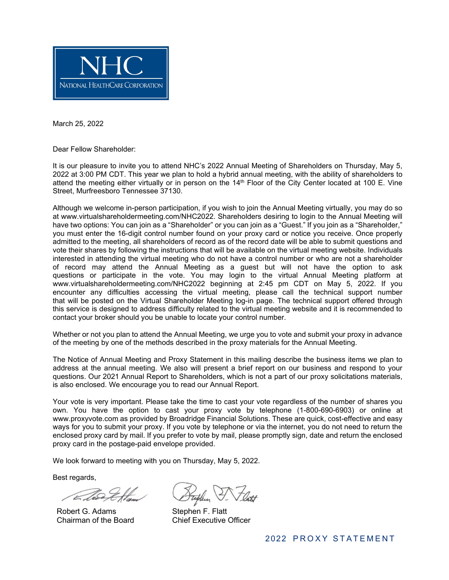

March 25, 2022

Dear Fellow Shareholder:

It is our pleasure to invite you to attend NHC's 2022 Annual Meeting of Shareholders on Thursday, May 5, 2022 at 3:00 PM CDT. This year we plan to hold a hybrid annual meeting, with the ability of shareholders to attend the meeting either virtually or in person on the 14th Floor of the City Center located at 100 E. Vine Street, Murfreesboro Tennessee 37130.

Although we welcome in-person participation, if you wish to join the Annual Meeting virtually, you may do so at www.virtualshareholdermeeting.com/NHC2022. Shareholders desiring to login to the Annual Meeting will have two options: You can join as a "Shareholder" or you can join as a "Guest." If you join as a "Shareholder," you must enter the 16-digit control number found on your proxy card or notice you receive. Once properly admitted to the meeting, all shareholders of record as of the record date will be able to submit questions and vote their shares by following the instructions that will be available on the virtual meeting website. Individuals interested in attending the virtual meeting who do not have a control number or who are not a shareholder of record may attend the Annual Meeting as a guest but will not have the option to ask questions or participate in the vote. You may login to the virtual Annual Meeting platform at www.virtualshareholdermeeting.com/NHC2022 beginning at 2:45 pm CDT on May 5, 2022. If you encounter any difficulties accessing the virtual meeting, please call the technical support number that will be posted on the Virtual Shareholder Meeting log-in page. The technical support offered through this service is designed to address difficulty related to the virtual meeting website and it is recommended to contact your broker should you be unable to locate your control number.

Whether or not you plan to attend the Annual Meeting, we urge you to vote and submit your proxy in advance of the meeting by one of the methods described in the proxy materials for the Annual Meeting.

The Notice of Annual Meeting and Proxy Statement in this mailing describe the business items we plan to address at the annual meeting. We also will present a brief report on our business and respond to your questions. Our 2021 Annual Report to Shareholders, which is not a part of our proxy solicitations materials, is also enclosed. We encourage you to read our Annual Report.

Your vote is very important. Please take the time to cast your vote regardless of the number of shares you own. You have the option to cast your proxy vote by telephone (1-800-690-6903) or online at www.proxyvote.com as provided by Broadridge Financial Solutions. These are quick, cost-effective and easy ways for you to submit your proxy. If you vote by telephone or via the internet, you do not need to return the enclosed proxy card by mail. If you prefer to vote by mail, please promptly sign, date and return the enclosed proxy card in the postage-paid envelope provided.

We look forward to meeting with you on Thursday, May 5, 2022.

Best regards,

Robert G. Adams Chairman of the Board

Stephen F. Flatt Chief Executive Officer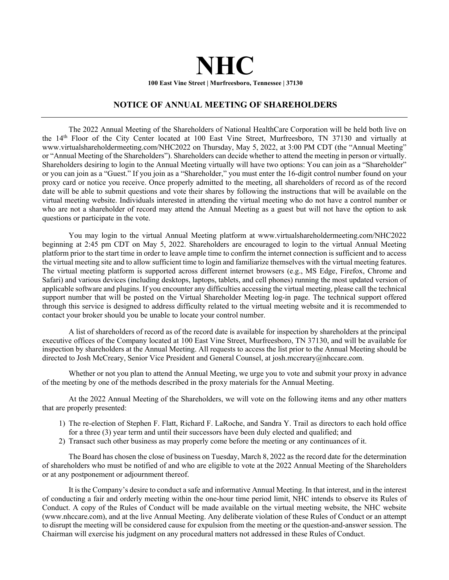# **NHC 100 East Vine Street | Murfreesboro, Tennessee | 37130**

## **NOTICE OF ANNUAL MEETING OF SHAREHOLDERS**

The 2022 Annual Meeting of the Shareholders of National HealthCare Corporation will be held both live on the 14th Floor of the City Center located at 100 East Vine Street, Murfreesboro, TN 37130 and virtually at www.virtualshareholdermeeting.com/NHC2022 on Thursday, May 5, 2022, at 3:00 PM CDT (the "Annual Meeting" or "Annual Meeting of the Shareholders"). Shareholders can decide whether to attend the meeting in person or virtually. Shareholders desiring to login to the Annual Meeting virtually will have two options: You can join as a "Shareholder" or you can join as a "Guest." If you join as a "Shareholder," you must enter the 16-digit control number found on your proxy card or notice you receive. Once properly admitted to the meeting, all shareholders of record as of the record date will be able to submit questions and vote their shares by following the instructions that will be available on the virtual meeting website. Individuals interested in attending the virtual meeting who do not have a control number or who are not a shareholder of record may attend the Annual Meeting as a guest but will not have the option to ask questions or participate in the vote.

You may login to the virtual Annual Meeting platform at www.virtualshareholdermeeting.com/NHC2022 beginning at 2:45 pm CDT on May 5, 2022. Shareholders are encouraged to login to the virtual Annual Meeting platform prior to the start time in order to leave ample time to confirm the internet connection is sufficient and to access the virtual meeting site and to allow sufficient time to login and familiarize themselves with the virtual meeting features. The virtual meeting platform is supported across different internet browsers (e.g., MS Edge, Firefox, Chrome and Safari) and various devices (including desktops, laptops, tablets, and cell phones) running the most updated version of applicable software and plugins. If you encounter any difficulties accessing the virtual meeting, please call the technical support number that will be posted on the Virtual Shareholder Meeting log-in page. The technical support offered through this service is designed to address difficulty related to the virtual meeting website and it is recommended to contact your broker should you be unable to locate your control number.

A list of shareholders of record as of the record date is available for inspection by shareholders at the principal executive offices of the Company located at 100 East Vine Street, Murfreesboro, TN 37130, and will be available for inspection by shareholders at the Annual Meeting. All requests to access the list prior to the Annual Meeting should be directed to Josh McCreary, Senior Vice President and General Counsel, at josh.mccreary@nhccare.com.

Whether or not you plan to attend the Annual Meeting, we urge you to vote and submit your proxy in advance of the meeting by one of the methods described in the proxy materials for the Annual Meeting.

At the 2022 Annual Meeting of the Shareholders, we will vote on the following items and any other matters that are properly presented:

- 1) The re-election of Stephen F. Flatt, Richard F. LaRoche, and Sandra Y. Trail as directors to each hold office for a three (3) year term and until their successors have been duly elected and qualified; and
- 2) Transact such other business as may properly come before the meeting or any continuances of it.

The Board has chosen the close of business on Tuesday, March 8, 2022 as the record date for the determination of shareholders who must be notified of and who are eligible to vote at the 2022 Annual Meeting of the Shareholders or at any postponement or adjournment thereof.

It is the Company's desire to conduct a safe and informative Annual Meeting. In that interest, and in the interest of conducting a fair and orderly meeting within the one-hour time period limit, NHC intends to observe its Rules of Conduct. A copy of the Rules of Conduct will be made available on the virtual meeting website, the NHC website (www.nhccare.com), and at the live Annual Meeting. Any deliberate violation of these Rules of Conduct or an attempt to disrupt the meeting will be considered cause for expulsion from the meeting or the question-and-answer session. The Chairman will exercise his judgment on any procedural matters not addressed in these Rules of Conduct.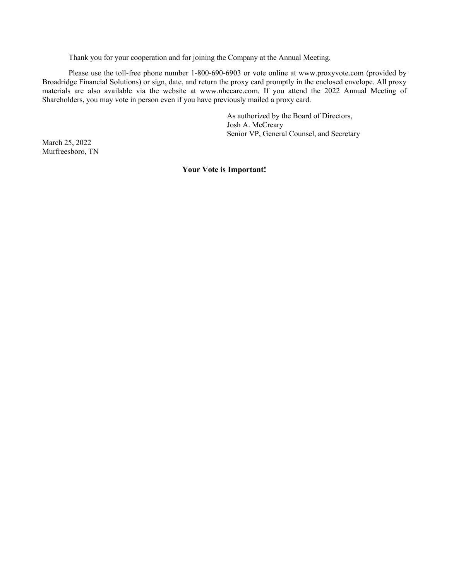Thank you for your cooperation and for joining the Company at the Annual Meeting.

Please use the toll-free phone number 1-800-690-6903 or vote online at www.proxyvote.com (provided by Broadridge Financial Solutions) or sign, date, and return the proxy card promptly in the enclosed envelope. All proxy materials are also available via the website at www.nhccare.com. If you attend the 2022 Annual Meeting of Shareholders, you may vote in person even if you have previously mailed a proxy card.

> As authorized by the Board of Directors, Josh A. McCreary Senior VP, General Counsel, and Secretary

March 25, 2022 Murfreesboro, TN

#### **Your Vote is Important!**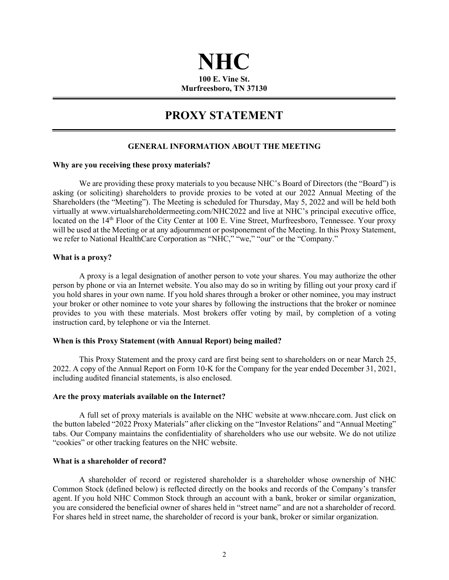## **NHC 100 E. Vine St. Murfreesboro, TN 37130**

## **PROXY STATEMENT**

## **GENERAL INFORMATION ABOUT THE MEETING**

#### **Why are you receiving these proxy materials?**

We are providing these proxy materials to you because NHC's Board of Directors (the "Board") is asking (or soliciting) shareholders to provide proxies to be voted at our 2022 Annual Meeting of the Shareholders (the "Meeting"). The Meeting is scheduled for Thursday, May 5, 2022 and will be held both virtually at www.virtualshareholdermeeting.com/NHC2022 and live at NHC's principal executive office, located on the 14<sup>th</sup> Floor of the City Center at 100 E. Vine Street, Murfreesboro, Tennessee. Your proxy will be used at the Meeting or at any adjournment or postponement of the Meeting. In this Proxy Statement, we refer to National HealthCare Corporation as "NHC," "we," "our" or the "Company."

## **What is a proxy?**

A proxy is a legal designation of another person to vote your shares. You may authorize the other person by phone or via an Internet website. You also may do so in writing by filling out your proxy card if you hold shares in your own name. If you hold shares through a broker or other nominee, you may instruct your broker or other nominee to vote your shares by following the instructions that the broker or nominee provides to you with these materials. Most brokers offer voting by mail, by completion of a voting instruction card, by telephone or via the Internet.

#### **When is this Proxy Statement (with Annual Report) being mailed?**

This Proxy Statement and the proxy card are first being sent to shareholders on or near March 25, 2022. A copy of the Annual Report on Form 10-K for the Company for the year ended December 31, 2021, including audited financial statements, is also enclosed.

#### **Are the proxy materials available on the Internet?**

A full set of proxy materials is available on the NHC website at www.nhccare.com. Just click on the button labeled "2022 Proxy Materials" after clicking on the "Investor Relations" and "Annual Meeting" tabs. Our Company maintains the confidentiality of shareholders who use our website. We do not utilize "cookies" or other tracking features on the NHC website.

## **What is a shareholder of record?**

A shareholder of record or registered shareholder is a shareholder whose ownership of NHC Common Stock (defined below) is reflected directly on the books and records of the Company's transfer agent. If you hold NHC Common Stock through an account with a bank, broker or similar organization, you are considered the beneficial owner of shares held in "street name" and are not a shareholder of record. For shares held in street name, the shareholder of record is your bank, broker or similar organization.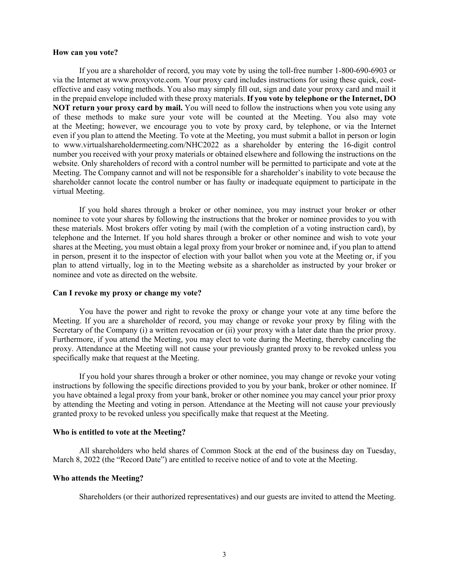#### **How can you vote?**

If you are a shareholder of record, you may vote by using the toll-free number 1-800-690-6903 or via the Internet at www.proxyvote.com. Your proxy card includes instructions for using these quick, costeffective and easy voting methods. You also may simply fill out, sign and date your proxy card and mail it in the prepaid envelope included with these proxy materials. **If you vote by telephone or the Internet, DO NOT return your proxy card by mail.** You will need to follow the instructions when you vote using any of these methods to make sure your vote will be counted at the Meeting. You also may vote at the Meeting; however, we encourage you to vote by proxy card, by telephone, or via the Internet even if you plan to attend the Meeting. To vote at the Meeting, you must submit a ballot in person or login to www.virtualshareholdermeeting.com/NHC2022 as a shareholder by entering the 16-digit control number you received with your proxy materials or obtained elsewhere and following the instructions on the website. Only shareholders of record with a control number will be permitted to participate and vote at the Meeting. The Company cannot and will not be responsible for a shareholder's inability to vote because the shareholder cannot locate the control number or has faulty or inadequate equipment to participate in the virtual Meeting.

If you hold shares through a broker or other nominee, you may instruct your broker or other nominee to vote your shares by following the instructions that the broker or nominee provides to you with these materials. Most brokers offer voting by mail (with the completion of a voting instruction card), by telephone and the Internet. If you hold shares through a broker or other nominee and wish to vote your shares at the Meeting, you must obtain a legal proxy from your broker or nominee and, if you plan to attend in person, present it to the inspector of election with your ballot when you vote at the Meeting or, if you plan to attend virtually, log in to the Meeting website as a shareholder as instructed by your broker or nominee and vote as directed on the website.

#### **Can I revoke my proxy or change my vote?**

You have the power and right to revoke the proxy or change your vote at any time before the Meeting. If you are a shareholder of record, you may change or revoke your proxy by filing with the Secretary of the Company (i) a written revocation or (ii) your proxy with a later date than the prior proxy. Furthermore, if you attend the Meeting, you may elect to vote during the Meeting, thereby canceling the proxy. Attendance at the Meeting will not cause your previously granted proxy to be revoked unless you specifically make that request at the Meeting.

If you hold your shares through a broker or other nominee, you may change or revoke your voting instructions by following the specific directions provided to you by your bank, broker or other nominee. If you have obtained a legal proxy from your bank, broker or other nominee you may cancel your prior proxy by attending the Meeting and voting in person. Attendance at the Meeting will not cause your previously granted proxy to be revoked unless you specifically make that request at the Meeting.

## **Who is entitled to vote at the Meeting?**

All shareholders who held shares of Common Stock at the end of the business day on Tuesday, March 8, 2022 (the "Record Date") are entitled to receive notice of and to vote at the Meeting.

#### **Who attends the Meeting?**

Shareholders (or their authorized representatives) and our guests are invited to attend the Meeting.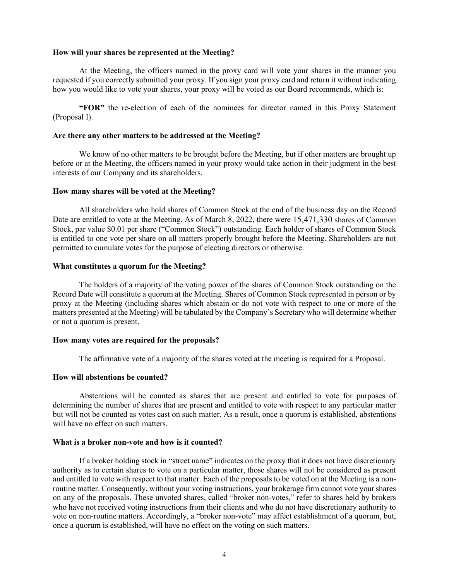#### **How will your shares be represented at the Meeting?**

At the Meeting, the officers named in the proxy card will vote your shares in the manner you requested if you correctly submitted your proxy. If you sign your proxy card and return it without indicating how you would like to vote your shares, your proxy will be voted as our Board recommends, which is:

**"FOR"** the re-election of each of the nominees for director named in this Proxy Statement (Proposal I).

#### **Are there any other matters to be addressed at the Meeting?**

We know of no other matters to be brought before the Meeting, but if other matters are brought up before or at the Meeting, the officers named in your proxy would take action in their judgment in the best interests of our Company and its shareholders.

#### **How many shares will be voted at the Meeting?**

All shareholders who hold shares of Common Stock at the end of the business day on the Record Date are entitled to vote at the Meeting. As of March 8, 2022, there were 15,471,330 shares of Common Stock, par value \$0.01 per share ("Common Stock") outstanding. Each holder of shares of Common Stock is entitled to one vote per share on all matters properly brought before the Meeting. Shareholders are not permitted to cumulate votes for the purpose of electing directors or otherwise.

#### **What constitutes a quorum for the Meeting?**

The holders of a majority of the voting power of the shares of Common Stock outstanding on the Record Date will constitute a quorum at the Meeting. Shares of Common Stock represented in person or by proxy at the Meeting (including shares which abstain or do not vote with respect to one or more of the matters presented at the Meeting) will be tabulated by the Company's Secretary who will determine whether or not a quorum is present.

#### **How many votes are required for the proposals?**

The affirmative vote of a majority of the shares voted at the meeting is required for a Proposal.

#### **How will abstentions be counted?**

Abstentions will be counted as shares that are present and entitled to vote for purposes of determining the number of shares that are present and entitled to vote with respect to any particular matter but will not be counted as votes cast on such matter. As a result, once a quorum is established, abstentions will have no effect on such matters.

#### **What is a broker non-vote and how is it counted?**

If a broker holding stock in "street name" indicates on the proxy that it does not have discretionary authority as to certain shares to vote on a particular matter, those shares will not be considered as present and entitled to vote with respect to that matter. Each of the proposals to be voted on at the Meeting is a nonroutine matter. Consequently, without your voting instructions, your brokerage firm cannot vote your shares on any of the proposals. These unvoted shares, called "broker non-votes," refer to shares held by brokers who have not received voting instructions from their clients and who do not have discretionary authority to vote on non-routine matters. Accordingly, a "broker non-vote" may affect establishment of a quorum, but, once a quorum is established, will have no effect on the voting on such matters.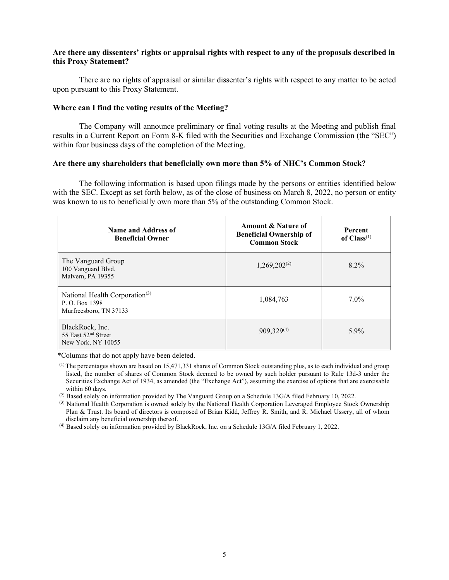## **Are there any dissenters' rights or appraisal rights with respect to any of the proposals described in this Proxy Statement?**

There are no rights of appraisal or similar dissenter's rights with respect to any matter to be acted upon pursuant to this Proxy Statement.

#### **Where can I find the voting results of the Meeting?**

The Company will announce preliminary or final voting results at the Meeting and publish final results in a Current Report on Form 8-K filed with the Securities and Exchange Commission (the "SEC") within four business days of the completion of the Meeting.

#### **Are there any shareholders that beneficially own more than 5% of NHC's Common Stock?**

The following information is based upon filings made by the persons or entities identified below with the SEC. Except as set forth below, as of the close of business on March 8, 2022, no person or entity was known to us to beneficially own more than 5% of the outstanding Common Stock.

| Name and Address of<br><b>Beneficial Owner</b>                                        | Amount & Nature of<br><b>Beneficial Ownership of</b><br><b>Common Stock</b> | <b>Percent</b><br>of $Class^{(1)}$ |
|---------------------------------------------------------------------------------------|-----------------------------------------------------------------------------|------------------------------------|
| The Vanguard Group<br>100 Vanguard Blvd.<br>Malvern, PA 19355                         | $1,269,202^{(2)}$                                                           | $8.2\%$                            |
| National Health Corporation <sup>(3)</sup><br>P.O. Box 1398<br>Murfreesboro, TN 37133 | 1,084,763                                                                   | $7.0\%$                            |
| BlackRock, Inc.<br>55 East 52 <sup>nd</sup> Street<br>New York, NY 10055              | 909,329(4)                                                                  | $5.9\%$                            |

\*Columns that do not apply have been deleted.

(2) Based solely on information provided by The Vanguard Group on a Schedule 13G/A filed February 10, 2022.

 $<sup>(3)</sup>$  National Health Corporation is owned solely by the National Health Corporation Leveraged Employee Stock Ownership</sup> Plan & Trust. Its board of directors is composed of Brian Kidd, Jeffrey R. Smith, and R. Michael Ussery, all of whom disclaim any beneficial ownership thereof.

(4) Based solely on information provided by BlackRock, Inc. on a Schedule 13G/A filed February 1, 2022.

 $<sup>(1)</sup>$  The percentages shown are based on 15,471,331 shares of Common Stock outstanding plus, as to each individual and group</sup> listed, the number of shares of Common Stock deemed to be owned by such holder pursuant to Rule 13d-3 under the Securities Exchange Act of 1934, as amended (the "Exchange Act"), assuming the exercise of options that are exercisable within 60 days.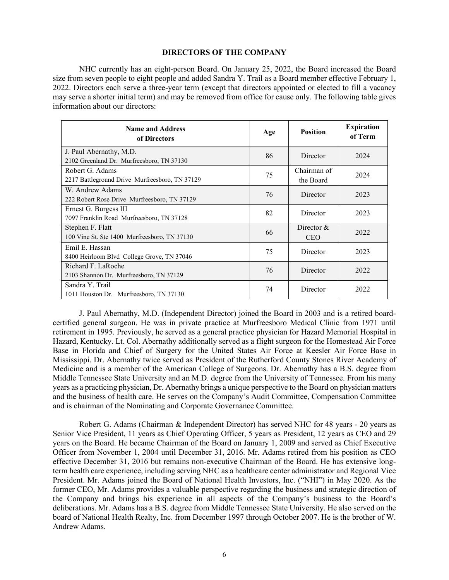#### **DIRECTORS OF THE COMPANY**

NHC currently has an eight-person Board. On January 25, 2022, the Board increased the Board size from seven people to eight people and added Sandra Y. Trail as a Board member effective February 1, 2022. Directors each serve a three-year term (except that directors appointed or elected to fill a vacancy may serve a shorter initial term) and may be removed from office for cause only. The following table gives information about our directors:

| <b>Name and Address</b><br>of Directors                              | Age | <b>Position</b>             | <b>Expiration</b><br>of Term |
|----------------------------------------------------------------------|-----|-----------------------------|------------------------------|
| J. Paul Abernathy, M.D.<br>2102 Greenland Dr. Murfreesboro, TN 37130 | 86  | Director                    | 2024                         |
| Robert G. Adams<br>2217 Battleground Drive Murfreesboro, TN 37129    | 75  | Chairman of<br>the Board    | 2024                         |
| W. Andrew Adams<br>222 Robert Rose Drive Murfreesboro, TN 37129      | 76  | Director                    | 2023                         |
| Ernest G. Burgess III<br>7097 Franklin Road Murfreesboro, TN 37128   | 82  | Director                    | 2023                         |
| Stephen F. Flatt<br>100 Vine St. Ste 1400 Murfreesboro, TN 37130     | 66  | Director $\&$<br><b>CEO</b> | 2022                         |
| Emil E. Hassan<br>8400 Heirloom Blvd College Grove, TN 37046         | 75  | Director                    | 2023                         |
| Richard F. LaRoche<br>2103 Shannon Dr. Murfreesboro, TN 37129        | 76  | Director                    | 2022                         |
| Sandra Y. Trail<br>1011 Houston Dr. Murfreesboro, TN 37130           | 74  | Director                    | 2022                         |

J. Paul Abernathy, M.D. (Independent Director) joined the Board in 2003 and is a retired boardcertified general surgeon. He was in private practice at Murfreesboro Medical Clinic from 1971 until retirement in 1995. Previously, he served as a general practice physician for Hazard Memorial Hospital in Hazard, Kentucky. Lt. Col. Abernathy additionally served as a flight surgeon for the Homestead Air Force Base in Florida and Chief of Surgery for the United States Air Force at Keesler Air Force Base in Mississippi. Dr. Abernathy twice served as President of the Rutherford County Stones River Academy of Medicine and is a member of the American College of Surgeons. Dr. Abernathy has a B.S. degree from Middle Tennessee State University and an M.D. degree from the University of Tennessee. From his many years as a practicing physician, Dr. Abernathy brings a unique perspective to the Board on physician matters and the business of health care. He serves on the Company's Audit Committee, Compensation Committee and is chairman of the Nominating and Corporate Governance Committee.

Robert G. Adams (Chairman & Independent Director) has served NHC for 48 years - 20 years as Senior Vice President, 11 years as Chief Operating Officer, 5 years as President, 12 years as CEO and 29 years on the Board. He became Chairman of the Board on January 1, 2009 and served as Chief Executive Officer from November 1, 2004 until December 31, 2016. Mr. Adams retired from his position as CEO effective December 31, 2016 but remains non-executive Chairman of the Board. He has extensive longterm health care experience, including serving NHC as a healthcare center administrator and Regional Vice President. Mr. Adams joined the Board of National Health Investors, Inc. ("NHI") in May 2020. As the former CEO, Mr. Adams provides a valuable perspective regarding the business and strategic direction of the Company and brings his experience in all aspects of the Company's business to the Board's deliberations. Mr. Adams has a B.S. degree from Middle Tennessee State University. He also served on the board of National Health Realty, Inc. from December 1997 through October 2007. He is the brother of W. Andrew Adams.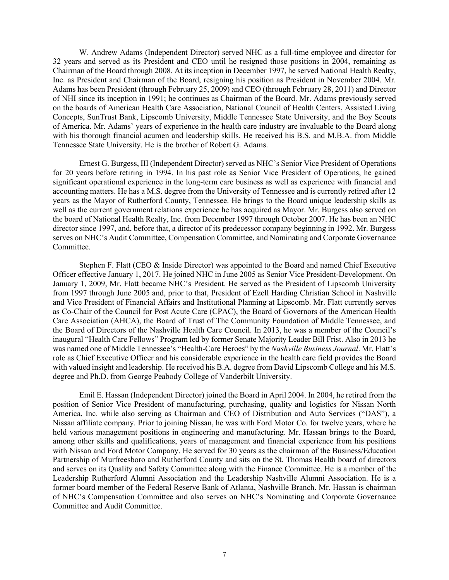W. Andrew Adams (Independent Director) served NHC as a full-time employee and director for 32 years and served as its President and CEO until he resigned those positions in 2004, remaining as Chairman of the Board through 2008. At its inception in December 1997, he served National Health Realty, Inc. as President and Chairman of the Board, resigning his position as President in November 2004. Mr. Adams has been President (through February 25, 2009) and CEO (through February 28, 2011) and Director of NHI since its inception in 1991; he continues as Chairman of the Board. Mr. Adams previously served on the boards of American Health Care Association, National Council of Health Centers, Assisted Living Concepts, SunTrust Bank, Lipscomb University, Middle Tennessee State University, and the Boy Scouts of America. Mr. Adams' years of experience in the health care industry are invaluable to the Board along with his thorough financial acumen and leadership skills. He received his B.S. and M.B.A. from Middle Tennessee State University. He is the brother of Robert G. Adams.

Ernest G. Burgess, III (Independent Director) served as NHC's Senior Vice President of Operations for 20 years before retiring in 1994. In his past role as Senior Vice President of Operations, he gained significant operational experience in the long-term care business as well as experience with financial and accounting matters. He has a M.S. degree from the University of Tennessee and is currently retired after 12 years as the Mayor of Rutherford County, Tennessee. He brings to the Board unique leadership skills as well as the current government relations experience he has acquired as Mayor. Mr. Burgess also served on the board of National Health Realty, Inc. from December 1997 through October 2007. He has been an NHC director since 1997, and, before that, a director of its predecessor company beginning in 1992. Mr. Burgess serves on NHC's Audit Committee, Compensation Committee, and Nominating and Corporate Governance Committee.

Stephen F. Flatt (CEO & Inside Director) was appointed to the Board and named Chief Executive Officer effective January 1, 2017. He joined NHC in June 2005 as Senior Vice President-Development. On January 1, 2009, Mr. Flatt became NHC's President. He served as the President of Lipscomb University from 1997 through June 2005 and, prior to that, President of Ezell Harding Christian School in Nashville and Vice President of Financial Affairs and Institutional Planning at Lipscomb. Mr. Flatt currently serves as Co-Chair of the Council for Post Acute Care (CPAC), the Board of Governors of the American Health Care Association (AHCA), the Board of Trust of The Community Foundation of Middle Tennessee, and the Board of Directors of the Nashville Health Care Council. In 2013, he was a member of the Council's inaugural "Health Care Fellows" Program led by former Senate Majority Leader Bill Frist. Also in 2013 he was named one of Middle Tennessee's "Health-Care Heroes" by the *Nashville Business Journal*. Mr. Flatt's role as Chief Executive Officer and his considerable experience in the health care field provides the Board with valued insight and leadership. He received his B.A. degree from David Lipscomb College and his M.S. degree and Ph.D. from George Peabody College of Vanderbilt University.

Emil E. Hassan (Independent Director) joined the Board in April 2004. In 2004, he retired from the position of Senior Vice President of manufacturing, purchasing, quality and logistics for Nissan North America, Inc. while also serving as Chairman and CEO of Distribution and Auto Services ("DAS"), a Nissan affiliate company. Prior to joining Nissan, he was with Ford Motor Co. for twelve years, where he held various management positions in engineering and manufacturing. Mr. Hassan brings to the Board, among other skills and qualifications, years of management and financial experience from his positions with Nissan and Ford Motor Company. He served for 30 years as the chairman of the Business/Education Partnership of Murfreesboro and Rutherford County and sits on the St. Thomas Health board of directors and serves on its Quality and Safety Committee along with the Finance Committee. He is a member of the Leadership Rutherford Alumni Association and the Leadership Nashville Alumni Association. He is a former board member of the Federal Reserve Bank of Atlanta, Nashville Branch. Mr. Hassan is chairman of NHC's Compensation Committee and also serves on NHC's Nominating and Corporate Governance Committee and Audit Committee.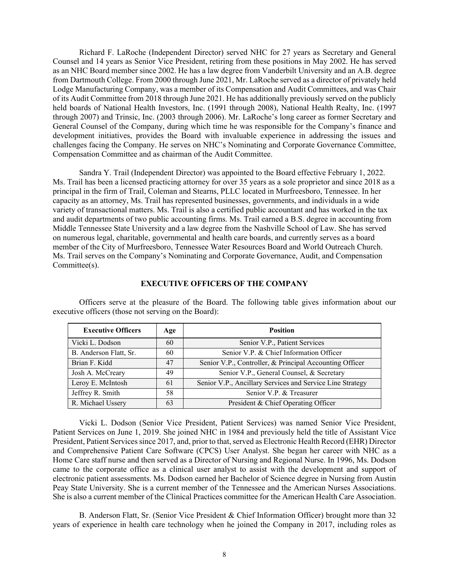Richard F. LaRoche (Independent Director) served NHC for 27 years as Secretary and General Counsel and 14 years as Senior Vice President, retiring from these positions in May 2002. He has served as an NHC Board member since 2002. He has a law degree from Vanderbilt University and an A.B. degree from Dartmouth College. From 2000 through June 2021, Mr. LaRoche served as a director of privately held Lodge Manufacturing Company, was a member of its Compensation and Audit Committees, and was Chair of its Audit Committee from 2018 through June 2021. He has additionally previously served on the publicly held boards of National Health Investors, Inc. (1991 through 2008), National Health Realty, Inc. (1997 through 2007) and Trinsic, Inc. (2003 through 2006). Mr. LaRoche's long career as former Secretary and General Counsel of the Company, during which time he was responsible for the Company's finance and development initiatives, provides the Board with invaluable experience in addressing the issues and challenges facing the Company. He serves on NHC's Nominating and Corporate Governance Committee, Compensation Committee and as chairman of the Audit Committee.

Sandra Y. Trail (Independent Director) was appointed to the Board effective February 1, 2022. Ms. Trail has been a licensed practicing attorney for over 35 years as a sole proprietor and since 2018 as a principal in the firm of Trail, Coleman and Stearns, PLLC located in Murfreesboro, Tennessee. In her capacity as an attorney, Ms. Trail has represented businesses, governments, and individuals in a wide variety of transactional matters. Ms. Trail is also a certified public accountant and has worked in the tax and audit departments of two public accounting firms. Ms. Trail earned a B.S. degree in accounting from Middle Tennessee State University and a law degree from the Nashville School of Law. She has served on numerous legal, charitable, governmental and health care boards, and currently serves as a board member of the City of Murfreesboro, Tennessee Water Resources Board and World Outreach Church. Ms. Trail serves on the Company's Nominating and Corporate Governance, Audit, and Compensation Committee(s).

| <b>Executive Officers</b> | Age | <b>Position</b>                                           |  |  |
|---------------------------|-----|-----------------------------------------------------------|--|--|
| Vicki L. Dodson           | 60  | Senior V.P., Patient Services                             |  |  |
| B. Anderson Flatt, Sr.    | 60  | Senior V.P. & Chief Information Officer                   |  |  |
| Brian F. Kidd             | 47  | Senior V.P., Controller, & Principal Accounting Officer   |  |  |
| Josh A. McCreary          | 49  | Senior V.P., General Counsel, & Secretary                 |  |  |
| Leroy E. McIntosh         | 61  | Senior V.P., Ancillary Services and Service Line Strategy |  |  |
| Jeffrey R. Smith          | 58  | Senior V.P. & Treasurer                                   |  |  |
| R. Michael Ussery         | 63  | President & Chief Operating Officer                       |  |  |

**EXECUTIVE OFFICERS OF THE COMPANY**

Officers serve at the pleasure of the Board. The following table gives information about our executive officers (those not serving on the Board):

Vicki L. Dodson (Senior Vice President, Patient Services) was named Senior Vice President, Patient Services on June 1, 2019. She joined NHC in 1984 and previously held the title of Assistant Vice President, Patient Services since 2017, and, prior to that, served as Electronic Health Record (EHR) Director and Comprehensive Patient Care Software (CPCS) User Analyst. She began her career with NHC as a Home Care staff nurse and then served as a Director of Nursing and Regional Nurse. In 1996, Ms. Dodson came to the corporate office as a clinical user analyst to assist with the development and support of electronic patient assessments. Ms. Dodson earned her Bachelor of Science degree in Nursing from Austin Peay State University. She is a current member of the Tennessee and the American Nurses Associations. She is also a current member of the Clinical Practices committee for the American Health Care Association.

B. Anderson Flatt, Sr. (Senior Vice President & Chief Information Officer) brought more than 32 years of experience in health care technology when he joined the Company in 2017, including roles as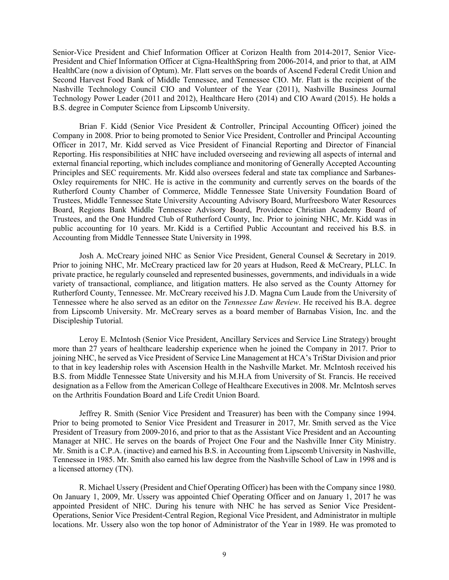Senior-Vice President and Chief Information Officer at Corizon Health from 2014-2017, Senior Vice-President and Chief Information Officer at Cigna-HealthSpring from 2006-2014, and prior to that, at AIM HealthCare (now a division of Optum). Mr. Flatt serves on the boards of Ascend Federal Credit Union and Second Harvest Food Bank of Middle Tennessee, and Tennessee CIO. Mr. Flatt is the recipient of the Nashville Technology Council CIO and Volunteer of the Year (2011), Nashville Business Journal Technology Power Leader (2011 and 2012), Healthcare Hero (2014) and CIO Award (2015). He holds a B.S. degree in Computer Science from Lipscomb University.

Brian F. Kidd (Senior Vice President & Controller, Principal Accounting Officer) joined the Company in 2008. Prior to being promoted to Senior Vice President, Controller and Principal Accounting Officer in 2017, Mr. Kidd served as Vice President of Financial Reporting and Director of Financial Reporting. His responsibilities at NHC have included overseeing and reviewing all aspects of internal and external financial reporting, which includes compliance and monitoring of Generally Accepted Accounting Principles and SEC requirements. Mr. Kidd also oversees federal and state tax compliance and Sarbanes-Oxley requirements for NHC. He is active in the community and currently serves on the boards of the Rutherford County Chamber of Commerce, Middle Tennessee State University Foundation Board of Trustees, Middle Tennessee State University Accounting Advisory Board, Murfreesboro Water Resources Board, Regions Bank Middle Tennessee Advisory Board, Providence Christian Academy Board of Trustees, and the One Hundred Club of Rutherford County, Inc. Prior to joining NHC, Mr. Kidd was in public accounting for 10 years. Mr. Kidd is a Certified Public Accountant and received his B.S. in Accounting from Middle Tennessee State University in 1998.

Josh A. McCreary joined NHC as Senior Vice President, General Counsel & Secretary in 2019. Prior to joining NHC, Mr. McCreary practiced law for 20 years at Hudson, Reed & McCreary, PLLC. In private practice, he regularly counseled and represented businesses, governments, and individuals in a wide variety of transactional, compliance, and litigation matters. He also served as the County Attorney for Rutherford County, Tennessee. Mr. McCreary received his J.D. Magna Cum Laude from the University of Tennessee where he also served as an editor on the *Tennessee Law Review*. He received his B.A. degree from Lipscomb University. Mr. McCreary serves as a board member of Barnabas Vision, Inc. and the Discipleship Tutorial.

Leroy E. McIntosh (Senior Vice President, Ancillary Services and Service Line Strategy) brought more than 27 years of healthcare leadership experience when he joined the Company in 2017. Prior to joining NHC, he served as Vice President of Service Line Management at HCA's TriStar Division and prior to that in key leadership roles with Ascension Health in the Nashville Market. Mr. McIntosh received his B.S. from Middle Tennessee State University and his M.H.A from University of St. Francis. He received designation as a Fellow from the American College of Healthcare Executives in 2008. Mr. McIntosh serves on the Arthritis Foundation Board and Life Credit Union Board.

Jeffrey R. Smith (Senior Vice President and Treasurer) has been with the Company since 1994. Prior to being promoted to Senior Vice President and Treasurer in 2017, Mr. Smith served as the Vice President of Treasury from 2009-2016, and prior to that as the Assistant Vice President and an Accounting Manager at NHC. He serves on the boards of Project One Four and the Nashville Inner City Ministry. Mr. Smith is a C.P.A. (inactive) and earned his B.S. in Accounting from Lipscomb University in Nashville, Tennessee in 1985. Mr. Smith also earned his law degree from the Nashville School of Law in 1998 and is a licensed attorney (TN).

R. Michael Ussery (President and Chief Operating Officer) has been with the Company since 1980. On January 1, 2009, Mr. Ussery was appointed Chief Operating Officer and on January 1, 2017 he was appointed President of NHC. During his tenure with NHC he has served as Senior Vice President-Operations, Senior Vice President-Central Region, Regional Vice President, and Administrator in multiple locations. Mr. Ussery also won the top honor of Administrator of the Year in 1989. He was promoted to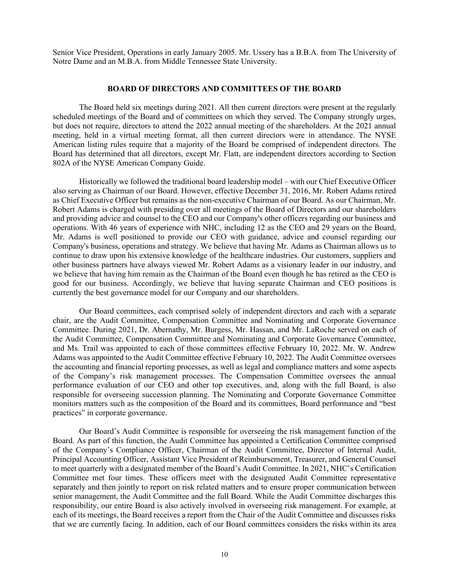Senior Vice President, Operations in early January 2005. Mr. Ussery has a B.B.A. from The University of Notre Dame and an M.B.A. from Middle Tennessee State University.

#### **BOARD OF DIRECTORS AND COMMITTEES OF THE BOARD**

The Board held six meetings during 2021. All then current directors were present at the regularly scheduled meetings of the Board and of committees on which they served. The Company strongly urges, but does not require, directors to attend the 2022 annual meeting of the shareholders. At the 2021 annual meeting, held in a virtual meeting format, all then current directors were in attendance. The NYSE American listing rules require that a majority of the Board be comprised of independent directors. The Board has determined that all directors, except Mr. Flatt, are independent directors according to Section 802A of the NYSE American Company Guide.

Historically we followed the traditional board leadership model – with our Chief Executive Officer also serving as Chairman of our Board. However, effective December 31, 2016, Mr. Robert Adams retired as Chief Executive Officer but remains as the non-executive Chairman of our Board. As our Chairman, Mr. Robert Adams is charged with presiding over all meetings of the Board of Directors and our shareholders and providing advice and counsel to the CEO and our Company's other officers regarding our business and operations. With 46 years of experience with NHC, including 12 as the CEO and 29 years on the Board, Mr. Adams is well positioned to provide our CEO with guidance, advice and counsel regarding our Company's business, operations and strategy. We believe that having Mr. Adams as Chairman allows us to continue to draw upon his extensive knowledge of the healthcare industries. Our customers, suppliers and other business partners have always viewed Mr. Robert Adams as a visionary leader in our industry, and we believe that having him remain as the Chairman of the Board even though he has retired as the CEO is good for our business. Accordingly, we believe that having separate Chairman and CEO positions is currently the best governance model for our Company and our shareholders.

Our Board committees, each comprised solely of independent directors and each with a separate chair, are the Audit Committee, Compensation Committee and Nominating and Corporate Governance Committee. During 2021, Dr. Abernathy, Mr. Burgess, Mr. Hassan, and Mr. LaRoche served on each of the Audit Committee, Compensation Committee and Nominating and Corporate Governance Committee, and Ms. Trail was appointed to each of those committees effective February 10, 2022. Mr. W. Andrew Adams was appointed to the Audit Committee effective February 10, 2022. The Audit Committee oversees the accounting and financial reporting processes, as well as legal and compliance matters and some aspects of the Company's risk management processes. The Compensation Committee oversees the annual performance evaluation of our CEO and other top executives, and, along with the full Board, is also responsible for overseeing succession planning. The Nominating and Corporate Governance Committee monitors matters such as the composition of the Board and its committees, Board performance and "best practices" in corporate governance.

Our Board's Audit Committee is responsible for overseeing the risk management function of the Board. As part of this function, the Audit Committee has appointed a Certification Committee comprised of the Company's Compliance Officer, Chairman of the Audit Committee, Director of Internal Audit, Principal Accounting Officer, Assistant Vice President of Reimbursement, Treasurer, and General Counsel to meet quarterly with a designated member of the Board's Audit Committee. In 2021, NHC's Certification Committee met four times. These officers meet with the designated Audit Committee representative separately and then jointly to report on risk related matters and to ensure proper communication between senior management, the Audit Committee and the full Board. While the Audit Committee discharges this responsibility, our entire Board is also actively involved in overseeing risk management. For example, at each of its meetings, the Board receives a report from the Chair of the Audit Committee and discusses risks that we are currently facing. In addition, each of our Board committees considers the risks within its area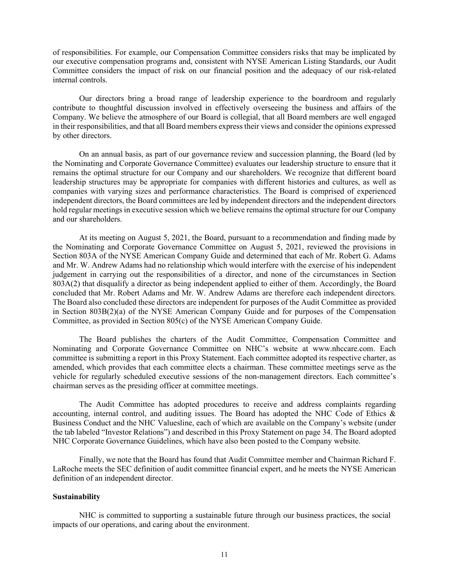of responsibilities. For example, our Compensation Committee considers risks that may be implicated by our executive compensation programs and, consistent with NYSE American Listing Standards, our Audit Committee considers the impact of risk on our financial position and the adequacy of our risk-related internal controls.

Our directors bring a broad range of leadership experience to the boardroom and regularly contribute to thoughtful discussion involved in effectively overseeing the business and affairs of the Company. We believe the atmosphere of our Board is collegial, that all Board members are well engaged in their responsibilities, and that all Board members express their views and consider the opinions expressed by other directors.

On an annual basis, as part of our governance review and succession planning, the Board (led by the Nominating and Corporate Governance Committee) evaluates our leadership structure to ensure that it remains the optimal structure for our Company and our shareholders. We recognize that different board leadership structures may be appropriate for companies with different histories and cultures, as well as companies with varying sizes and performance characteristics. The Board is comprised of experienced independent directors, the Board committees are led by independent directors and the independent directors hold regular meetings in executive session which we believe remains the optimal structure for our Company and our shareholders.

At its meeting on August 5, 2021, the Board, pursuant to a recommendation and finding made by the Nominating and Corporate Governance Committee on August 5, 2021, reviewed the provisions in Section 803A of the NYSE American Company Guide and determined that each of Mr. Robert G. Adams and Mr. W. Andrew Adams had no relationship which would interfere with the exercise of his independent judgement in carrying out the responsibilities of a director, and none of the circumstances in Section 803A(2) that disqualify a director as being independent applied to either of them. Accordingly, the Board concluded that Mr. Robert Adams and Mr. W. Andrew Adams are therefore each independent directors. The Board also concluded these directors are independent for purposes of the Audit Committee as provided in Section 803B(2)(a) of the NYSE American Company Guide and for purposes of the Compensation Committee, as provided in Section 805(c) of the NYSE American Company Guide.

The Board publishes the charters of the Audit Committee, Compensation Committee and Nominating and Corporate Governance Committee on NHC's website at www.nhccare.com. Each committee is submitting a report in this Proxy Statement. Each committee adopted its respective charter, as amended, which provides that each committee elects a chairman. These committee meetings serve as the vehicle for regularly scheduled executive sessions of the non-management directors. Each committee's chairman serves as the presiding officer at committee meetings.

The Audit Committee has adopted procedures to receive and address complaints regarding accounting, internal control, and auditing issues. The Board has adopted the NHC Code of Ethics & Business Conduct and the NHC Valuesline, each of which are available on the Company's website (under the tab labeled "Investor Relations") and described in this Proxy Statement on page 34. The Board adopted NHC Corporate Governance Guidelines, which have also been posted to the Company website.

Finally, we note that the Board has found that Audit Committee member and Chairman Richard F. LaRoche meets the SEC definition of audit committee financial expert, and he meets the NYSE American definition of an independent director.

#### **Sustainability**

NHC is committed to supporting a sustainable future through our business practices, the social impacts of our operations, and caring about the environment.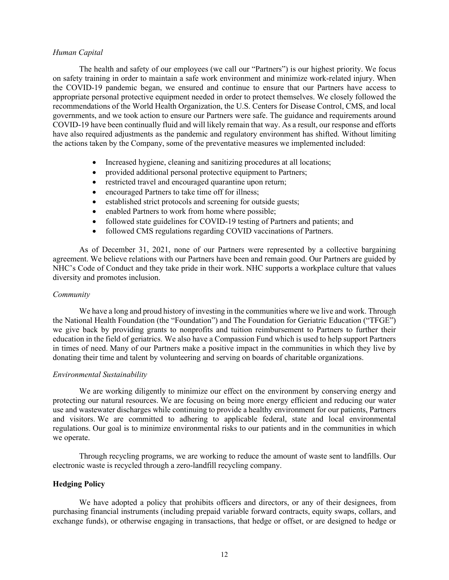## *Human Capital*

The health and safety of our employees (we call our "Partners") is our highest priority. We focus on safety training in order to maintain a safe work environment and minimize work-related injury. When the COVID-19 pandemic began, we ensured and continue to ensure that our Partners have access to appropriate personal protective equipment needed in order to protect themselves. We closely followed the recommendations of the World Health Organization, the U.S. Centers for Disease Control, CMS, and local governments, and we took action to ensure our Partners were safe. The guidance and requirements around COVID-19 have been continually fluid and will likely remain that way. As a result, our response and efforts have also required adjustments as the pandemic and regulatory environment has shifted. Without limiting the actions taken by the Company, some of the preventative measures we implemented included:

- Increased hygiene, cleaning and sanitizing procedures at all locations;
- provided additional personal protective equipment to Partners;
- restricted travel and encouraged quarantine upon return;
- encouraged Partners to take time off for illness;
- established strict protocols and screening for outside guests;
- enabled Partners to work from home where possible;
- followed state guidelines for COVID-19 testing of Partners and patients; and
- followed CMS regulations regarding COVID vaccinations of Partners.

As of December 31, 2021, none of our Partners were represented by a collective bargaining agreement. We believe relations with our Partners have been and remain good. Our Partners are guided by NHC's Code of Conduct and they take pride in their work. NHC supports a workplace culture that values diversity and promotes inclusion.

#### *Community*

We have a long and proud history of investing in the communities where we live and work. Through the National Health Foundation (the "Foundation") and The Foundation for Geriatric Education ("TFGE") we give back by providing grants to nonprofits and tuition reimbursement to Partners to further their education in the field of geriatrics. We also have a Compassion Fund which is used to help support Partners in times of need. Many of our Partners make a positive impact in the communities in which they live by donating their time and talent by volunteering and serving on boards of charitable organizations.

#### *Environmental Sustainability*

We are working diligently to minimize our effect on the environment by conserving energy and protecting our natural resources. We are focusing on being more energy efficient and reducing our water use and wastewater discharges while continuing to provide a healthy environment for our patients, Partners and visitors. We are committed to adhering to applicable federal, state and local environmental regulations. Our goal is to minimize environmental risks to our patients and in the communities in which we operate.

Through recycling programs, we are working to reduce the amount of waste sent to landfills. Our electronic waste is recycled through a zero-landfill recycling company.

## **Hedging Policy**

We have adopted a policy that prohibits officers and directors, or any of their designees, from purchasing financial instruments (including prepaid variable forward contracts, equity swaps, collars, and exchange funds), or otherwise engaging in transactions, that hedge or offset, or are designed to hedge or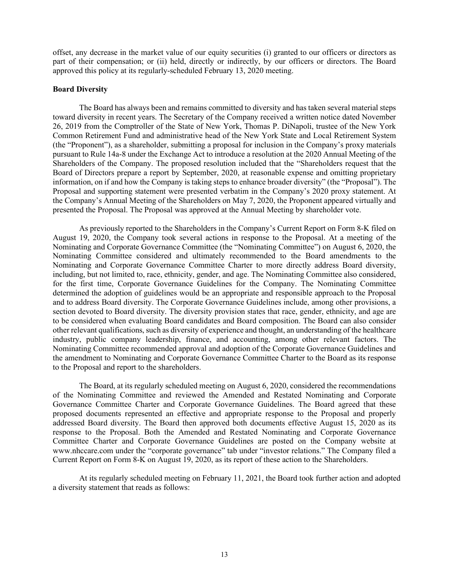offset, any decrease in the market value of our equity securities (i) granted to our officers or directors as part of their compensation; or (ii) held, directly or indirectly, by our officers or directors. The Board approved this policy at its regularly-scheduled February 13, 2020 meeting.

## **Board Diversity**

The Board has always been and remains committed to diversity and has taken several material steps toward diversity in recent years. The Secretary of the Company received a written notice dated November 26, 2019 from the Comptroller of the State of New York, Thomas P. DiNapoli, trustee of the New York Common Retirement Fund and administrative head of the New York State and Local Retirement System (the "Proponent"), as a shareholder, submitting a proposal for inclusion in the Company's proxy materials pursuant to Rule 14a-8 under the Exchange Act to introduce a resolution at the 2020 Annual Meeting of the Shareholders of the Company. The proposed resolution included that the "Shareholders request that the Board of Directors prepare a report by September, 2020, at reasonable expense and omitting proprietary information, on if and how the Company is taking steps to enhance broader diversity" (the "Proposal"). The Proposal and supporting statement were presented verbatim in the Company's 2020 proxy statement. At the Company's Annual Meeting of the Shareholders on May 7, 2020, the Proponent appeared virtually and presented the Proposal. The Proposal was approved at the Annual Meeting by shareholder vote.

As previously reported to the Shareholders in the Company's Current Report on Form 8-K filed on August 19, 2020, the Company took several actions in response to the Proposal. At a meeting of the Nominating and Corporate Governance Committee (the "Nominating Committee") on August 6, 2020, the Nominating Committee considered and ultimately recommended to the Board amendments to the Nominating and Corporate Governance Committee Charter to more directly address Board diversity, including, but not limited to, race, ethnicity, gender, and age. The Nominating Committee also considered, for the first time, Corporate Governance Guidelines for the Company. The Nominating Committee determined the adoption of guidelines would be an appropriate and responsible approach to the Proposal and to address Board diversity. The Corporate Governance Guidelines include, among other provisions, a section devoted to Board diversity. The diversity provision states that race, gender, ethnicity, and age are to be considered when evaluating Board candidates and Board composition. The Board can also consider other relevant qualifications, such as diversity of experience and thought, an understanding of the healthcare industry, public company leadership, finance, and accounting, among other relevant factors. The Nominating Committee recommended approval and adoption of the Corporate Governance Guidelines and the amendment to Nominating and Corporate Governance Committee Charter to the Board as its response to the Proposal and report to the shareholders.

The Board, at its regularly scheduled meeting on August 6, 2020, considered the recommendations of the Nominating Committee and reviewed the Amended and Restated Nominating and Corporate Governance Committee Charter and Corporate Governance Guidelines. The Board agreed that these proposed documents represented an effective and appropriate response to the Proposal and properly addressed Board diversity. The Board then approved both documents effective August 15, 2020 as its response to the Proposal. Both the Amended and Restated Nominating and Corporate Governance Committee Charter and Corporate Governance Guidelines are posted on the Company website at www.nhccare.com under the "corporate governance" tab under "investor relations." The Company filed a Current Report on Form 8-K on August 19, 2020, as its report of these action to the Shareholders.

At its regularly scheduled meeting on February 11, 2021, the Board took further action and adopted a diversity statement that reads as follows: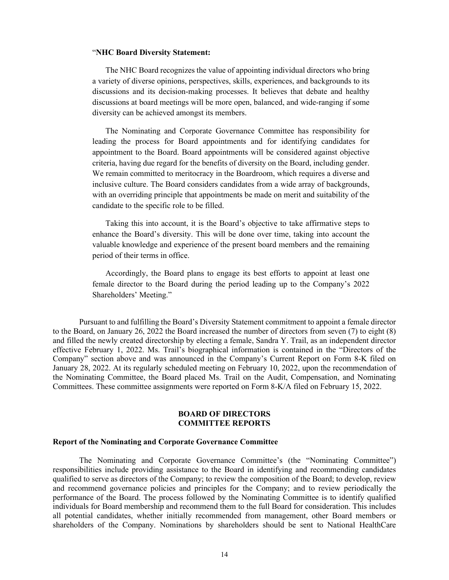#### "**NHC Board Diversity Statement:**

The NHC Board recognizes the value of appointing individual directors who bring a variety of diverse opinions, perspectives, skills, experiences, and backgrounds to its discussions and its decision-making processes. It believes that debate and healthy discussions at board meetings will be more open, balanced, and wide-ranging if some diversity can be achieved amongst its members.

The Nominating and Corporate Governance Committee has responsibility for leading the process for Board appointments and for identifying candidates for appointment to the Board. Board appointments will be considered against objective criteria, having due regard for the benefits of diversity on the Board, including gender. We remain committed to meritocracy in the Boardroom, which requires a diverse and inclusive culture. The Board considers candidates from a wide array of backgrounds, with an overriding principle that appointments be made on merit and suitability of the candidate to the specific role to be filled.

Taking this into account, it is the Board's objective to take affirmative steps to enhance the Board's diversity. This will be done over time, taking into account the valuable knowledge and experience of the present board members and the remaining period of their terms in office.

Accordingly, the Board plans to engage its best efforts to appoint at least one female director to the Board during the period leading up to the Company's 2022 Shareholders' Meeting."

Pursuant to and fulfilling the Board's Diversity Statement commitment to appoint a female director to the Board, on January 26, 2022 the Board increased the number of directors from seven (7) to eight (8) and filled the newly created directorship by electing a female, Sandra Y. Trail, as an independent director effective February 1, 2022. Ms. Trail's biographical information is contained in the "Directors of the Company" section above and was announced in the Company's Current Report on Form 8-K filed on January 28, 2022. At its regularly scheduled meeting on February 10, 2022, upon the recommendation of the Nominating Committee, the Board placed Ms. Trail on the Audit, Compensation, and Nominating Committees. These committee assignments were reported on Form 8-K/A filed on February 15, 2022.

#### **BOARD OF DIRECTORS COMMITTEE REPORTS**

#### **Report of the Nominating and Corporate Governance Committee**

The Nominating and Corporate Governance Committee's (the "Nominating Committee") responsibilities include providing assistance to the Board in identifying and recommending candidates qualified to serve as directors of the Company; to review the composition of the Board; to develop, review and recommend governance policies and principles for the Company; and to review periodically the performance of the Board. The process followed by the Nominating Committee is to identify qualified individuals for Board membership and recommend them to the full Board for consideration. This includes all potential candidates, whether initially recommended from management, other Board members or shareholders of the Company. Nominations by shareholders should be sent to National HealthCare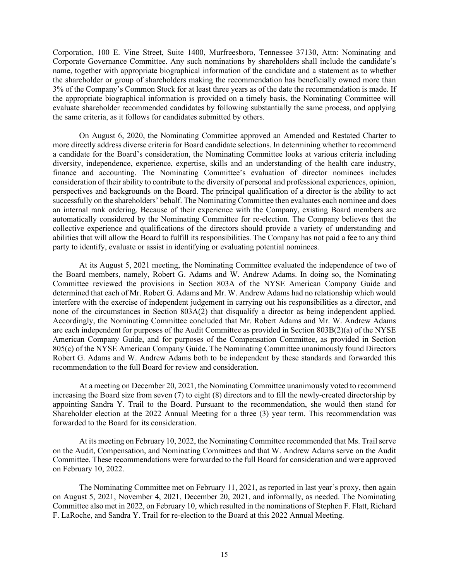Corporation, 100 E. Vine Street, Suite 1400, Murfreesboro, Tennessee 37130, Attn: Nominating and Corporate Governance Committee. Any such nominations by shareholders shall include the candidate's name, together with appropriate biographical information of the candidate and a statement as to whether the shareholder or group of shareholders making the recommendation has beneficially owned more than 3% of the Company's Common Stock for at least three years as of the date the recommendation is made. If the appropriate biographical information is provided on a timely basis, the Nominating Committee will evaluate shareholder recommended candidates by following substantially the same process, and applying the same criteria, as it follows for candidates submitted by others.

On August 6, 2020, the Nominating Committee approved an Amended and Restated Charter to more directly address diverse criteria for Board candidate selections. In determining whether to recommend a candidate for the Board's consideration, the Nominating Committee looks at various criteria including diversity, independence, experience, expertise, skills and an understanding of the health care industry, finance and accounting. The Nominating Committee's evaluation of director nominees includes consideration of their ability to contribute to the diversity of personal and professional experiences, opinion, perspectives and backgrounds on the Board. The principal qualification of a director is the ability to act successfully on the shareholders' behalf. The Nominating Committee then evaluates each nominee and does an internal rank ordering. Because of their experience with the Company, existing Board members are automatically considered by the Nominating Committee for re-election. The Company believes that the collective experience and qualifications of the directors should provide a variety of understanding and abilities that will allow the Board to fulfill its responsibilities. The Company has not paid a fee to any third party to identify, evaluate or assist in identifying or evaluating potential nominees.

At its August 5, 2021 meeting, the Nominating Committee evaluated the independence of two of the Board members, namely, Robert G. Adams and W. Andrew Adams. In doing so, the Nominating Committee reviewed the provisions in Section 803A of the NYSE American Company Guide and determined that each of Mr. Robert G. Adams and Mr. W. Andrew Adams had no relationship which would interfere with the exercise of independent judgement in carrying out his responsibilities as a director, and none of the circumstances in Section 803A(2) that disqualify a director as being independent applied. Accordingly, the Nominating Committee concluded that Mr. Robert Adams and Mr. W. Andrew Adams are each independent for purposes of the Audit Committee as provided in Section 803B(2)(a) of the NYSE American Company Guide, and for purposes of the Compensation Committee, as provided in Section 805(c) of the NYSE American Company Guide. The Nominating Committee unanimously found Directors Robert G. Adams and W. Andrew Adams both to be independent by these standards and forwarded this recommendation to the full Board for review and consideration.

At a meeting on December 20, 2021, the Nominating Committee unanimously voted to recommend increasing the Board size from seven (7) to eight (8) directors and to fill the newly-created directorship by appointing Sandra Y. Trail to the Board. Pursuant to the recommendation, she would then stand for Shareholder election at the 2022 Annual Meeting for a three (3) year term. This recommendation was forwarded to the Board for its consideration.

At its meeting on February 10, 2022, the Nominating Committee recommended that Ms. Trail serve on the Audit, Compensation, and Nominating Committees and that W. Andrew Adams serve on the Audit Committee. These recommendations were forwarded to the full Board for consideration and were approved on February 10, 2022.

The Nominating Committee met on February 11, 2021, as reported in last year's proxy, then again on August 5, 2021, November 4, 2021, December 20, 2021, and informally, as needed. The Nominating Committee also met in 2022, on February 10, which resulted in the nominations of Stephen F. Flatt, Richard F. LaRoche, and Sandra Y. Trail for re-election to the Board at this 2022 Annual Meeting.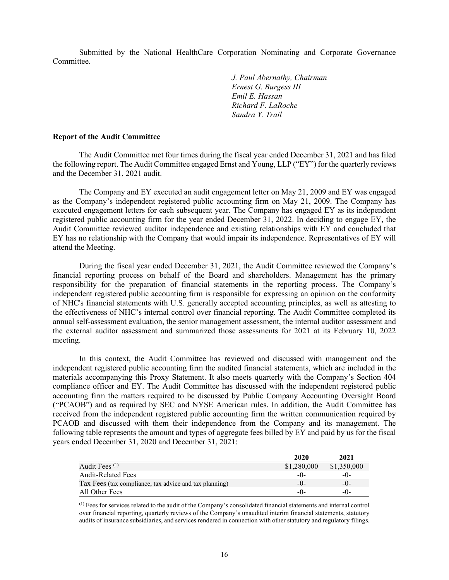Submitted by the National HealthCare Corporation Nominating and Corporate Governance Committee.

> *J. Paul Abernathy, Chairman Ernest G. Burgess III Emil E. Hassan Richard F. LaRoche Sandra Y. Trail*

#### **Report of the Audit Committee**

The Audit Committee met four times during the fiscal year ended December 31, 2021 and has filed the following report. The Audit Committee engaged Ernst and Young, LLP ("EY") for the quarterly reviews and the December 31, 2021 audit.

The Company and EY executed an audit engagement letter on May 21, 2009 and EY was engaged as the Company's independent registered public accounting firm on May 21, 2009. The Company has executed engagement letters for each subsequent year. The Company has engaged EY as its independent registered public accounting firm for the year ended December 31, 2022. In deciding to engage EY, the Audit Committee reviewed auditor independence and existing relationships with EY and concluded that EY has no relationship with the Company that would impair its independence. Representatives of EY will attend the Meeting.

During the fiscal year ended December 31, 2021, the Audit Committee reviewed the Company's financial reporting process on behalf of the Board and shareholders. Management has the primary responsibility for the preparation of financial statements in the reporting process. The Company's independent registered public accounting firm is responsible for expressing an opinion on the conformity of NHC's financial statements with U.S. generally accepted accounting principles, as well as attesting to the effectiveness of NHC's internal control over financial reporting. The Audit Committee completed its annual self-assessment evaluation, the senior management assessment, the internal auditor assessment and the external auditor assessment and summarized those assessments for 2021 at its February 10, 2022 meeting.

In this context, the Audit Committee has reviewed and discussed with management and the independent registered public accounting firm the audited financial statements, which are included in the materials accompanying this Proxy Statement. It also meets quarterly with the Company's Section 404 compliance officer and EY. The Audit Committee has discussed with the independent registered public accounting firm the matters required to be discussed by Public Company Accounting Oversight Board ("PCAOB") and as required by SEC and NYSE American rules. In addition, the Audit Committee has received from the independent registered public accounting firm the written communication required by PCAOB and discussed with them their independence from the Company and its management. The following table represents the amount and types of aggregate fees billed by EY and paid by us for the fiscal years ended December 31, 2020 and December 31, 2021:

|                                                        | 2020        | 2021        |
|--------------------------------------------------------|-------------|-------------|
| Audit Fees $(1)$                                       | \$1,280,000 | \$1,350,000 |
| <b>Audit-Related Fees</b>                              | $-()$       | $-0-$       |
| Tax Fees (tax compliance, tax advice and tax planning) | $-()$       | $-()$       |
| All Other Fees                                         | $-()$       | $-()$       |

(1) Fees for services related to the audit of the Company's consolidated financial statements and internal control over financial reporting, quarterly reviews of the Company's unaudited interim financial statements, statutory audits of insurance subsidiaries, and services rendered in connection with other statutory and regulatory filings.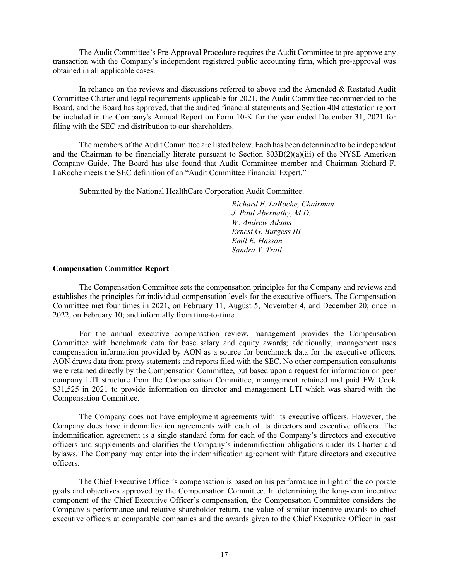The Audit Committee's Pre-Approval Procedure requires the Audit Committee to pre-approve any transaction with the Company's independent registered public accounting firm, which pre-approval was obtained in all applicable cases.

In reliance on the reviews and discussions referred to above and the Amended & Restated Audit Committee Charter and legal requirements applicable for 2021, the Audit Committee recommended to the Board, and the Board has approved, that the audited financial statements and Section 404 attestation report be included in the Company's Annual Report on Form 10-K for the year ended December 31, 2021 for filing with the SEC and distribution to our shareholders.

The members of the Audit Committee are listed below. Each has been determined to be independent and the Chairman to be financially literate pursuant to Section  $803B(2)(a)(iii)$  of the NYSE American Company Guide. The Board has also found that Audit Committee member and Chairman Richard F. LaRoche meets the SEC definition of an "Audit Committee Financial Expert."

Submitted by the National HealthCare Corporation Audit Committee.

*Richard F. LaRoche, Chairman J. Paul Abernathy, M.D. W. Andrew Adams Ernest G. Burgess III Emil E. Hassan Sandra Y. Trail*

#### **Compensation Committee Report**

The Compensation Committee sets the compensation principles for the Company and reviews and establishes the principles for individual compensation levels for the executive officers. The Compensation Committee met four times in 2021, on February 11, August 5, November 4, and December 20; once in 2022, on February 10; and informally from time-to-time.

For the annual executive compensation review, management provides the Compensation Committee with benchmark data for base salary and equity awards; additionally, management uses compensation information provided by AON as a source for benchmark data for the executive officers. AON draws data from proxy statements and reports filed with the SEC. No other compensation consultants were retained directly by the Compensation Committee, but based upon a request for information on peer company LTI structure from the Compensation Committee, management retained and paid FW Cook \$31,525 in 2021 to provide information on director and management LTI which was shared with the Compensation Committee.

The Company does not have employment agreements with its executive officers. However, the Company does have indemnification agreements with each of its directors and executive officers. The indemnification agreement is a single standard form for each of the Company's directors and executive officers and supplements and clarifies the Company's indemnification obligations under its Charter and bylaws. The Company may enter into the indemnification agreement with future directors and executive officers.

The Chief Executive Officer's compensation is based on his performance in light of the corporate goals and objectives approved by the Compensation Committee. In determining the long-term incentive component of the Chief Executive Officer's compensation, the Compensation Committee considers the Company's performance and relative shareholder return, the value of similar incentive awards to chief executive officers at comparable companies and the awards given to the Chief Executive Officer in past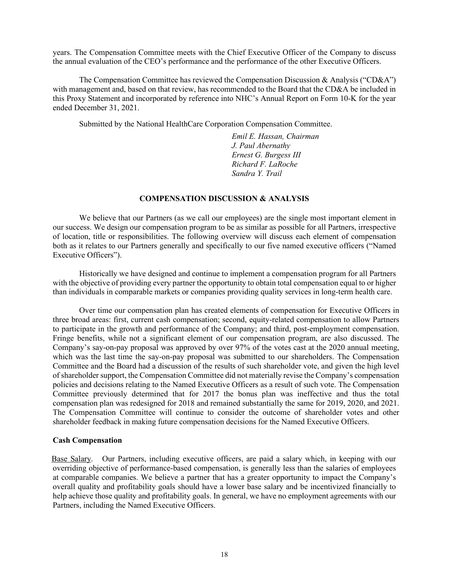years. The Compensation Committee meets with the Chief Executive Officer of the Company to discuss the annual evaluation of the CEO's performance and the performance of the other Executive Officers.

The Compensation Committee has reviewed the Compensation Discussion & Analysis ("CD&A") with management and, based on that review, has recommended to the Board that the CD&A be included in this Proxy Statement and incorporated by reference into NHC's Annual Report on Form 10-K for the year ended December 31, 2021.

Submitted by the National HealthCare Corporation Compensation Committee.

*Emil E. Hassan, Chairman J. Paul Abernathy Ernest G. Burgess III Richard F. LaRoche Sandra Y. Trail*

#### **COMPENSATION DISCUSSION & ANALYSIS**

We believe that our Partners (as we call our employees) are the single most important element in our success. We design our compensation program to be as similar as possible for all Partners, irrespective of location, title or responsibilities. The following overview will discuss each element of compensation both as it relates to our Partners generally and specifically to our five named executive officers ("Named Executive Officers").

Historically we have designed and continue to implement a compensation program for all Partners with the objective of providing every partner the opportunity to obtain total compensation equal to or higher than individuals in comparable markets or companies providing quality services in long-term health care.

Over time our compensation plan has created elements of compensation for Executive Officers in three broad areas: first, current cash compensation; second, equity-related compensation to allow Partners to participate in the growth and performance of the Company; and third, post-employment compensation. Fringe benefits, while not a significant element of our compensation program, are also discussed. The Company's say-on-pay proposal was approved by over 97% of the votes cast at the 2020 annual meeting, which was the last time the say-on-pay proposal was submitted to our shareholders. The Compensation Committee and the Board had a discussion of the results of such shareholder vote, and given the high level of shareholder support, the Compensation Committee did not materially revise the Company's compensation policies and decisions relating to the Named Executive Officers as a result of such vote. The Compensation Committee previously determined that for 2017 the bonus plan was ineffective and thus the total compensation plan was redesigned for 2018 and remained substantially the same for 2019, 2020, and 2021. The Compensation Committee will continue to consider the outcome of shareholder votes and other shareholder feedback in making future compensation decisions for the Named Executive Officers.

## **Cash Compensation**

Base Salary. Our Partners, including executive officers, are paid a salary which, in keeping with our overriding objective of performance-based compensation, is generally less than the salaries of employees at comparable companies. We believe a partner that has a greater opportunity to impact the Company's overall quality and profitability goals should have a lower base salary and be incentivized financially to help achieve those quality and profitability goals. In general, we have no employment agreements with our Partners, including the Named Executive Officers.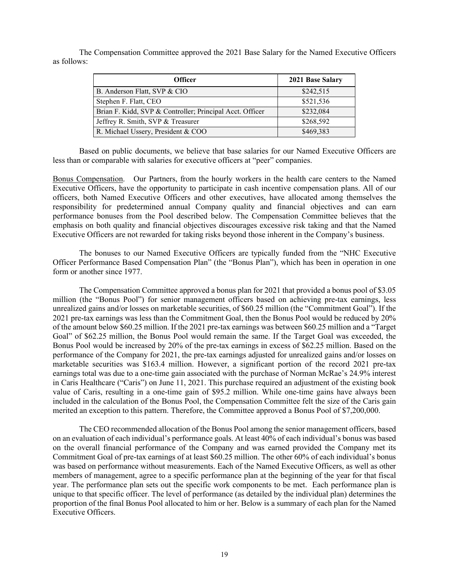The Compensation Committee approved the 2021 Base Salary for the Named Executive Officers as follows:

| <b>Officer</b>                                           | 2021 Base Salary |
|----------------------------------------------------------|------------------|
| B. Anderson Flatt, SVP & CIO                             | \$242,515        |
| Stephen F. Flatt, CEO                                    | \$521,536        |
| Brian F. Kidd, SVP & Controller; Principal Acct. Officer | \$232,084        |
| Jeffrey R. Smith, SVP & Treasurer                        | \$268,592        |
| R. Michael Ussery, President & COO                       | \$469,383        |

Based on public documents, we believe that base salaries for our Named Executive Officers are less than or comparable with salaries for executive officers at "peer" companies.

Bonus Compensation. Our Partners, from the hourly workers in the health care centers to the Named Executive Officers, have the opportunity to participate in cash incentive compensation plans. All of our officers, both Named Executive Officers and other executives, have allocated among themselves the responsibility for predetermined annual Company quality and financial objectives and can earn performance bonuses from the Pool described below. The Compensation Committee believes that the emphasis on both quality and financial objectives discourages excessive risk taking and that the Named Executive Officers are not rewarded for taking risks beyond those inherent in the Company's business.

The bonuses to our Named Executive Officers are typically funded from the "NHC Executive Officer Performance Based Compensation Plan" (the "Bonus Plan"), which has been in operation in one form or another since 1977.

The Compensation Committee approved a bonus plan for 2021 that provided a bonus pool of \$3.05 million (the "Bonus Pool") for senior management officers based on achieving pre-tax earnings, less unrealized gains and/or losses on marketable securities, of \$60.25 million (the "Commitment Goal"). If the 2021 pre-tax earnings was less than the Commitment Goal, then the Bonus Pool would be reduced by 20% of the amount below \$60.25 million. If the 2021 pre-tax earnings was between \$60.25 million and a "Target Goal" of \$62.25 million, the Bonus Pool would remain the same. If the Target Goal was exceeded, the Bonus Pool would be increased by 20% of the pre-tax earnings in excess of \$62.25 million. Based on the performance of the Company for 2021, the pre-tax earnings adjusted for unrealized gains and/or losses on marketable securities was \$163.4 million. However, a significant portion of the record 2021 pre-tax earnings total was due to a one-time gain associated with the purchase of Norman McRae's 24.9% interest in Caris Healthcare ("Caris") on June 11, 2021. This purchase required an adjustment of the existing book value of Caris, resulting in a one-time gain of \$95.2 million. While one-time gains have always been included in the calculation of the Bonus Pool, the Compensation Committee felt the size of the Caris gain merited an exception to this pattern. Therefore, the Committee approved a Bonus Pool of \$7,200,000.

The CEO recommended allocation of the Bonus Pool among the senior management officers, based on an evaluation of each individual's performance goals. At least 40% of each individual's bonus was based on the overall financial performance of the Company and was earned provided the Company met its Commitment Goal of pre-tax earnings of at least \$60.25 million. The other 60% of each individual's bonus was based on performance without measurements. Each of the Named Executive Officers, as well as other members of management, agree to a specific performance plan at the beginning of the year for that fiscal year. The performance plan sets out the specific work components to be met. Each performance plan is unique to that specific officer. The level of performance (as detailed by the individual plan) determines the proportion of the final Bonus Pool allocated to him or her. Below is a summary of each plan for the Named Executive Officers.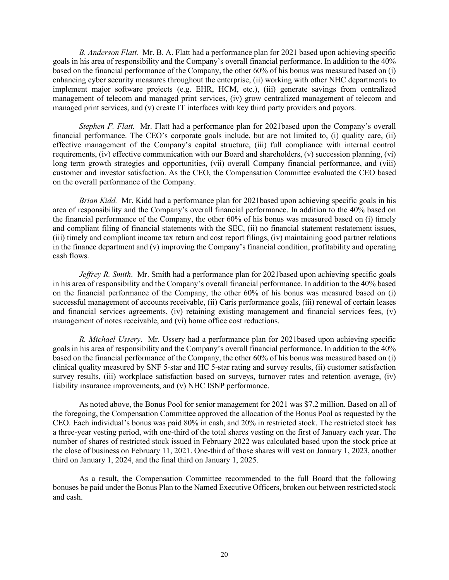*B. Anderson Flatt.* Mr. B. A. Flatt had a performance plan for 2021 based upon achieving specific goals in his area of responsibility and the Company's overall financial performance. In addition to the 40% based on the financial performance of the Company, the other 60% of his bonus was measured based on (i) enhancing cyber security measures throughout the enterprise, (ii) working with other NHC departments to implement major software projects (e.g. EHR, HCM, etc.), (iii) generate savings from centralized management of telecom and managed print services, (iv) grow centralized management of telecom and managed print services, and (v) create IT interfaces with key third party providers and payors.

*Stephen F. Flatt.* Mr. Flatt had a performance plan for 2021based upon the Company's overall financial performance. The CEO's corporate goals include, but are not limited to, (i) quality care, (ii) effective management of the Company's capital structure, (iii) full compliance with internal control requirements, (iv) effective communication with our Board and shareholders, (v) succession planning, (vi) long term growth strategies and opportunities, (vii) overall Company financial performance, and (viii) customer and investor satisfaction. As the CEO, the Compensation Committee evaluated the CEO based on the overall performance of the Company.

*Brian Kidd.* Mr. Kidd had a performance plan for 2021based upon achieving specific goals in his area of responsibility and the Company's overall financial performance. In addition to the 40% based on the financial performance of the Company, the other 60% of his bonus was measured based on (i) timely and compliant filing of financial statements with the SEC, (ii) no financial statement restatement issues, (iii) timely and compliant income tax return and cost report filings, (iv) maintaining good partner relations in the finance department and (v) improving the Company's financial condition, profitability and operating cash flows.

*Jeffrey R. Smith*. Mr. Smith had a performance plan for 2021based upon achieving specific goals in his area of responsibility and the Company's overall financial performance. In addition to the 40% based on the financial performance of the Company, the other 60% of his bonus was measured based on (i) successful management of accounts receivable, (ii) Caris performance goals, (iii) renewal of certain leases and financial services agreements, (iv) retaining existing management and financial services fees, (v) management of notes receivable, and (vi) home office cost reductions.

*R. Michael Ussery*. Mr. Ussery had a performance plan for 2021based upon achieving specific goals in his area of responsibility and the Company's overall financial performance. In addition to the 40% based on the financial performance of the Company, the other 60% of his bonus was measured based on (i) clinical quality measured by SNF 5-star and HC 5-star rating and survey results, (ii) customer satisfaction survey results, (iii) workplace satisfaction based on surveys, turnover rates and retention average, (iv) liability insurance improvements, and (v) NHC ISNP performance.

As noted above, the Bonus Pool for senior management for 2021 was \$7.2 million. Based on all of the foregoing, the Compensation Committee approved the allocation of the Bonus Pool as requested by the CEO. Each individual's bonus was paid 80% in cash, and 20% in restricted stock. The restricted stock has a three-year vesting period, with one-third of the total shares vesting on the first of January each year. The number of shares of restricted stock issued in February 2022 was calculated based upon the stock price at the close of business on February 11, 2021. One-third of those shares will vest on January 1, 2023, another third on January 1, 2024, and the final third on January 1, 2025.

As a result, the Compensation Committee recommended to the full Board that the following bonuses be paid under the Bonus Plan to the Named Executive Officers, broken out between restricted stock and cash.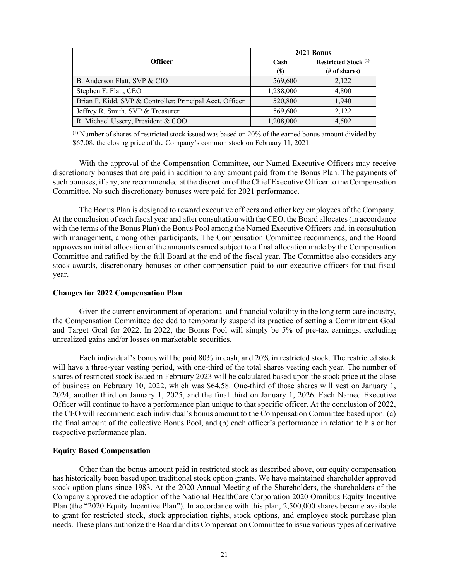|                                                          | 2021 Bonus  |                                              |  |  |
|----------------------------------------------------------|-------------|----------------------------------------------|--|--|
| <b>Officer</b>                                           | Cash<br>(S) | <b>Restricted Stock (1)</b><br>(# of shares) |  |  |
| B. Anderson Flatt, SVP & CIO                             | 569,600     | 2,122                                        |  |  |
| Stephen F. Flatt, CEO                                    | 1,288,000   | 4,800                                        |  |  |
| Brian F. Kidd, SVP & Controller; Principal Acct. Officer | 520,800     | 1.940                                        |  |  |
| Jeffrey R. Smith, SVP & Treasurer                        | 569,600     | 2,122                                        |  |  |
| R. Michael Ussery, President & COO                       | 1,208,000   | 4,502                                        |  |  |

(1) Number of shares of restricted stock issued was based on 20% of the earned bonus amount divided by \$67.08, the closing price of the Company's common stock on February 11, 2021.

With the approval of the Compensation Committee, our Named Executive Officers may receive discretionary bonuses that are paid in addition to any amount paid from the Bonus Plan. The payments of such bonuses, if any, are recommended at the discretion of the Chief Executive Officer to the Compensation Committee. No such discretionary bonuses were paid for 2021 performance.

The Bonus Plan is designed to reward executive officers and other key employees of the Company. At the conclusion of each fiscal year and after consultation with the CEO, the Board allocates (in accordance with the terms of the Bonus Plan) the Bonus Pool among the Named Executive Officers and, in consultation with management, among other participants. The Compensation Committee recommends, and the Board approves an initial allocation of the amounts earned subject to a final allocation made by the Compensation Committee and ratified by the full Board at the end of the fiscal year. The Committee also considers any stock awards, discretionary bonuses or other compensation paid to our executive officers for that fiscal year.

#### **Changes for 2022 Compensation Plan**

Given the current environment of operational and financial volatility in the long term care industry, the Compensation Committee decided to temporarily suspend its practice of setting a Commitment Goal and Target Goal for 2022. In 2022, the Bonus Pool will simply be 5% of pre-tax earnings, excluding unrealized gains and/or losses on marketable securities.

Each individual's bonus will be paid 80% in cash, and 20% in restricted stock. The restricted stock will have a three-year vesting period, with one-third of the total shares vesting each year. The number of shares of restricted stock issued in February 2023 will be calculated based upon the stock price at the close of business on February 10, 2022, which was \$64.58. One-third of those shares will vest on January 1, 2024, another third on January 1, 2025, and the final third on January 1, 2026. Each Named Executive Officer will continue to have a performance plan unique to that specific officer. At the conclusion of 2022, the CEO will recommend each individual's bonus amount to the Compensation Committee based upon: (a) the final amount of the collective Bonus Pool, and (b) each officer's performance in relation to his or her respective performance plan.

#### **Equity Based Compensation**

Other than the bonus amount paid in restricted stock as described above, our equity compensation has historically been based upon traditional stock option grants. We have maintained shareholder approved stock option plans since 1983. At the 2020 Annual Meeting of the Shareholders, the shareholders of the Company approved the adoption of the National HealthCare Corporation 2020 Omnibus Equity Incentive Plan (the "2020 Equity Incentive Plan"). In accordance with this plan, 2,500,000 shares became available to grant for restricted stock, stock appreciation rights, stock options, and employee stock purchase plan needs. These plans authorize the Board and its Compensation Committee to issue various types of derivative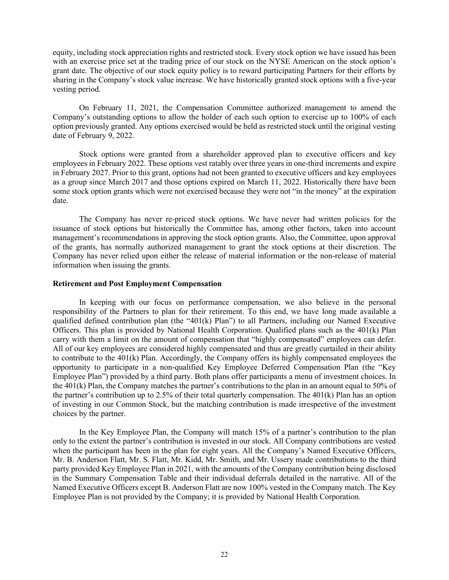equity, including stock appreciation rights and restricted stock. Every stock option we have issued has been with an exercise price set at the trading price of our stock on the NYSE American on the stock option's grant date. The objective of our stock equity policy is to reward participating Partners for their efforts by sharing in the Company's stock value increase. We have historically granted stock options with a five-year vesting period.

On February 11, 2021, the Compensation Committee authorized management to amend the Company's outstanding options to allow the holder of each such option to exercise up to 100% of each option previously granted. Any options exercised would be held as restricted stock until the original vesting date of February 9, 2022.

Stock options were granted from a shareholder approved plan to executive officers and key employees in February 2022. These options vest ratably over three years in one-third increments and expire in February 2027. Prior to this grant, options had not been granted to executive officers and key employees as a group since March 2017 and those options expired on March 11, 2022. Historically there have been some stock option grants which were not exercised because they were not "in the money" at the expiration date.

The Company has never re-priced stock options. We have never had written policies for the issuance of stock options but historically the Committee has, among other factors, taken into account management's recommendations in approving the stock option grants. Also, the Committee, upon approval of the grants, has normally authorized management to grant the stock options at their discretion. The Company has never relied upon either the release of material information or the non-release of material information when issuing the grants.

#### **Retirement and Post Employment Compensation**

In keeping with our focus on performance compensation, we also believe in the personal responsibility of the Partners to plan for their retirement. To this end, we have long made available a qualified defined contribution plan (the "401(k) Plan") to all Partners, including our Named Executive Officers. This plan is provided by National Health Corporation. Qualified plans such as the 401(k) Plan carry with them a limit on the amount of compensation that "highly compensated" employees can defer. All of our key employees are considered highly compensated and thus are greatly curtailed in their ability to contribute to the 401(k) Plan. Accordingly, the Company offers its highly compensated employees the opportunity to participate in a non-qualified Key Employee Deferred Compensation Plan (the "Key Employee Plan") provided by a third party. Both plans offer participants a menu of investment choices. In the 401(k) Plan, the Company matches the partner's contributions to the plan in an amount equal to 50% of the partner's contribution up to 2.5% of their total quarterly compensation. The 401(k) Plan has an option of investing in our Common Stock, but the matching contribution is made irrespective of the investment choices by the partner.

In the Key Employee Plan, the Company will match 15% of a partner's contribution to the plan only to the extent the partner's contribution is invested in our stock. All Company contributions are vested when the participant has been in the plan for eight years. All the Company's Named Executive Officers, Mr. B. Anderson Flatt, Mr. S. Flatt, Mr. Kidd, Mr. Smith, and Mr. Ussery made contributions to the third party provided Key Employee Plan in 2021, with the amounts of the Company contribution being disclosed in the Summary Compensation Table and their individual deferrals detailed in the narrative. All of the Named Executive Officers except B. Anderson Flatt are now 100% vested in the Company match. The Key Employee Plan is not provided by the Company; it is provided by National Health Corporation.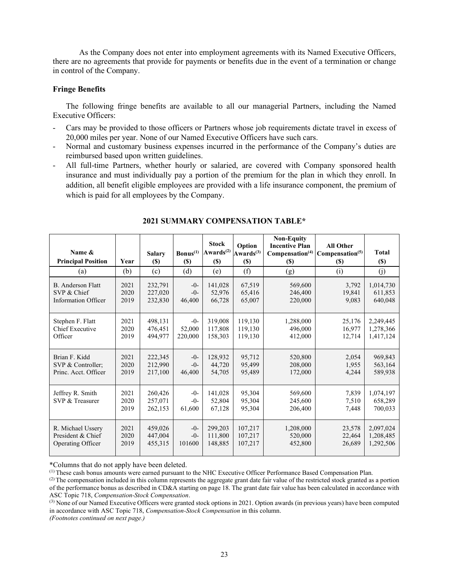As the Company does not enter into employment agreements with its Named Executive Officers, there are no agreements that provide for payments or benefits due in the event of a termination or change in control of the Company.

## **Fringe Benefits**

The following fringe benefits are available to all our managerial Partners, including the Named Executive Officers:

- Cars may be provided to those officers or Partners whose job requirements dictate travel in excess of 20,000 miles per year. None of our Named Executive Officers have such cars.
- Normal and customary business expenses incurred in the performance of the Company's duties are reimbursed based upon written guidelines.
- All full-time Partners, whether hourly or salaried, are covered with Company sponsored health insurance and must individually pay a portion of the premium for the plan in which they enroll. In addition, all benefit eligible employees are provided with a life insurance component, the premium of which is paid for all employees by the Company.

| Name &<br><b>Principal Position</b> | Year                 | <b>Salary</b><br>$(\$)$       | $\text{Bonus}^{(1)}$<br>$(\$)$ | <b>Stock</b><br>Awards $(2)$<br><b>(\$)</b> | Option<br>$Awards^{(3)}$<br>$(\$)$ | <b>Non-Equity</b><br><b>Incentive Plan</b><br>Compensation <sup>(4)</sup><br>$(\$)$ | <b>All Other</b><br>Compensation <sup>(5)</sup><br><b>(\$)</b> | <b>Total</b><br><b>(\$)</b>     |
|-------------------------------------|----------------------|-------------------------------|--------------------------------|---------------------------------------------|------------------------------------|-------------------------------------------------------------------------------------|----------------------------------------------------------------|---------------------------------|
| (a)                                 | (b)                  | (c)                           | (d)                            | (e)                                         | (f)                                | (g)                                                                                 | (i)                                                            | (j)                             |
| B. Anderson Flatt                   | 2021                 | 232,791                       | $-0-$                          | 141,028                                     | 67,519                             | 569,600                                                                             | 3,792                                                          | 1,014,730                       |
| SVP & Chief                         | 2020                 | 227,020                       | $-0-$                          | 52,976                                      | 65,416                             | 246,400                                                                             | 19,841                                                         | 611,853                         |
| <b>Information Officer</b>          | 2019                 | 232,830                       | 46,400                         | 66,728                                      | 65,007                             | 220,000                                                                             | 9,083                                                          | 640,048                         |
| Stephen F. Flatt                    | 2021                 | 498,131                       | $-0-$                          | 319,008                                     | 119,130                            | 1,288,000                                                                           | 25,176                                                         | 2,249,445                       |
| <b>Chief Executive</b>              | 2020                 | 476,451                       | 52,000                         | 117,808                                     | 119,130                            | 496,000                                                                             | 16,977                                                         | 1,278,366                       |
| Officer                             | 2019                 | 494,977                       | 220,000                        | 158,303                                     | 119.130                            | 412,000                                                                             | 12,714                                                         | 1,417,124                       |
| Brian F. Kidd                       | 2021                 | 222,345                       | $-0-$                          | 128,932                                     | 95,712                             | 520,800                                                                             | 2,054                                                          | 969,843                         |
| SVP & Controller;                   | 2020                 | 212,990                       | $-0-$                          | 44,720                                      | 95,499                             | 208,000                                                                             | 1.955                                                          | 563,164                         |
| Princ. Acct. Officer                | 2019                 | 217,100                       | 46,400                         | 54,705                                      | 95,489                             | 172,000                                                                             | 4.244                                                          | 589,938                         |
| Jeffrey R. Smith<br>SVP & Treasurer | 2021<br>2020<br>2019 | 260,426<br>257,071<br>262,153 | $-0-$<br>$-0-$<br>61,600       | 141,028<br>52,804<br>67,128                 | 95,304<br>95,304<br>95,304         | 569,600<br>245,600<br>206,400                                                       | 7,839<br>7,510<br>7,448                                        | 1,074,197<br>658,289<br>700,033 |
| R. Michael Ussery                   | 2021                 | 459,026                       | $-0-$                          | 299,203                                     | 107,217                            | 1,208,000                                                                           | 23,578                                                         | 2,097,024                       |
| President & Chief                   | 2020                 | 447,004                       | $-0-$                          | 111,800                                     | 107,217                            | 520,000                                                                             | 22,464                                                         | 1,208,485                       |
| Operating Officer                   | 2019                 | 455,315                       | 101600                         | 148,885                                     | 107,217                            | 452,800                                                                             | 26,689                                                         | 1,292,506                       |

## **2021 SUMMARY COMPENSATION TABLE\***

\*Columns that do not apply have been deleted.

(1) These cash bonus amounts were earned pursuant to the NHC Executive Officer Performance Based Compensation Plan.

 $<sup>(2)</sup>$  The compensation included in this column represents the aggregate grant date fair value of the restricted stock granted as a portion</sup> of the performance bonus as described in CD&A starting on page 18. The grant date fair value has been calculated in accordance with ASC Topic 718, *Compensation-Stock Compensation*.

(3) None of our Named Executive Officers were granted stock options in 2021. Option awards (in previous years) have been computed in accordance with ASC Topic 718, *Compensation-Stock Compensation* in this column.

*(Footnotes continued on next page.)*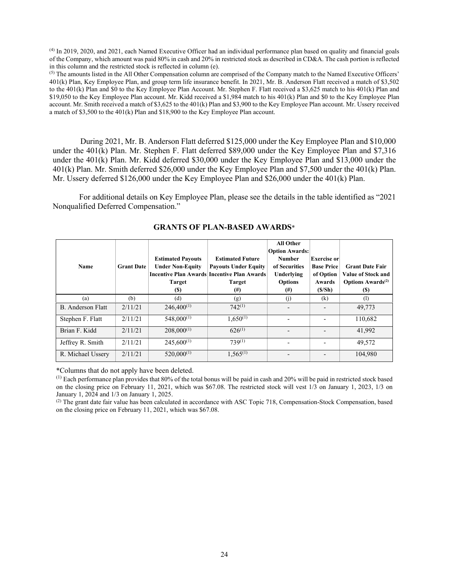(4) In 2019, 2020, and 2021, each Named Executive Officer had an individual performance plan based on quality and financial goals of the Company, which amount was paid 80% in cash and 20% in restricted stock as described in CD&A. The cash portion is reflected in this column and the restricted stock is reflected in column (e).

(5) The amounts listed in the All Other Compensation column are comprised of the Company match to the Named Executive Officers' 401(k) Plan, Key Employee Plan, and group term life insurance benefit. In 2021, Mr. B. Anderson Flatt received a match of \$3,502 to the 401(k) Plan and \$0 to the Key Employee Plan Account. Mr. Stephen F. Flatt received a \$3,625 match to his 401(k) Plan and \$19,050 to the Key Employee Plan account. Mr. Kidd received a \$1,984 match to his 401(k) Plan and \$0 to the Key Employee Plan account. Mr. Smith received a match of \$3,625 to the 401(k) Plan and \$3,900 to the Key Employee Plan account. Mr. Ussery received a match of \$3,500 to the 401(k) Plan and \$18,900 to the Key Employee Plan account.

During 2021, Mr. B. Anderson Flatt deferred \$125,000 under the Key Employee Plan and \$10,000 under the 401(k) Plan. Mr. Stephen F. Flatt deferred \$89,000 under the Key Employee Plan and \$7,316 under the 401(k) Plan. Mr. Kidd deferred \$30,000 under the Key Employee Plan and \$13,000 under the 401(k) Plan. Mr. Smith deferred \$26,000 under the Key Employee Plan and \$7,500 under the 401(k) Plan. Mr. Ussery deferred \$126,000 under the Key Employee Plan and \$26,000 under the 401(k) Plan.

For additional details on Key Employee Plan, please see the details in the table identified as "2021 Nonqualified Deferred Compensation."

| <b>Name</b>       | <b>Grant Date</b> | <b>Estimated Payouts</b><br><b>Under Non-Equity</b><br>Target<br>(S) | <b>Estimated Future</b><br><b>Payouts Under Equity</b><br>Incentive Plan Awards Incentive Plan Awards<br><b>Target</b><br>$^{(#)}$ | <b>All Other</b><br><b>Option Awards:</b><br><b>Number</b><br>of Securities<br>Underlying<br><b>Options</b><br>$^{(#)}$ | Exercise or<br><b>Base Price</b><br>of Option<br>Awards<br>(S/Sh) | <b>Grant Date Fair</b><br>Value of Stock and<br><b>Options Awards</b> <sup>(2)</sup><br>(S) |
|-------------------|-------------------|----------------------------------------------------------------------|------------------------------------------------------------------------------------------------------------------------------------|-------------------------------------------------------------------------------------------------------------------------|-------------------------------------------------------------------|---------------------------------------------------------------------------------------------|
| (a)               | (b)               | (d)                                                                  | (g)                                                                                                                                | (i)                                                                                                                     | $\left( \mathrm{k}\right)$                                        | (1)                                                                                         |
| B. Anderson Flatt | 2/11/21           | $246,400^{(1)}$                                                      | $742^{(1)}$                                                                                                                        |                                                                                                                         |                                                                   | 49,773                                                                                      |
| Stephen F. Flatt  | 2/11/21           | $548,000^{(1)}$                                                      | $1.650^{(1)}$                                                                                                                      |                                                                                                                         |                                                                   | 110,682                                                                                     |
| Brian F. Kidd     | 2/11/21           | $208,000^{(1)}$                                                      | $626^{(1)}$                                                                                                                        |                                                                                                                         |                                                                   | 41,992                                                                                      |
| Jeffrey R. Smith  | 2/11/21           | $245,600^{(1)}$                                                      | $739^{(1)}$                                                                                                                        |                                                                                                                         |                                                                   | 49.572                                                                                      |
| R. Michael Ussery | 2/11/21           | $520,000^{(1)}$                                                      | $1,565^{(1)}$                                                                                                                      |                                                                                                                         |                                                                   | 104,980                                                                                     |

## **GRANTS OF PLAN-BASED AWARDS**\*

\*Columns that do not apply have been deleted.

 $<sup>(1)</sup>$  Each performance plan provides that 80% of the total bonus will be paid in cash and 20% will be paid in restricted stock based</sup> on the closing price on February 11, 2021, which was \$67.08. The restricted stock will vest 1/3 on January 1, 2023, 1/3 on January 1, 2024 and 1/3 on January 1, 2025.

(2) The grant date fair value has been calculated in accordance with ASC Topic 718, Compensation-Stock Compensation, based on the closing price on February 11, 2021, which was \$67.08.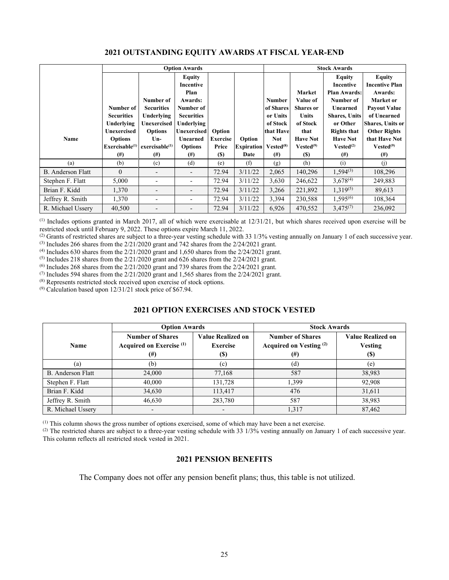|                          |                             | <b>Option Awards</b>       |                          |                 |                   | <b>Stock Awards</b>   |                  |                       |                         |
|--------------------------|-----------------------------|----------------------------|--------------------------|-----------------|-------------------|-----------------------|------------------|-----------------------|-------------------------|
|                          |                             |                            | Equity                   |                 |                   |                       |                  | <b>Equity</b>         | <b>Equity</b>           |
|                          |                             |                            | Incentive                |                 |                   |                       |                  | Incentive             | <b>Incentive Plan</b>   |
|                          |                             |                            | Plan                     |                 |                   |                       | Market           | <b>Plan Awards:</b>   | Awards:                 |
|                          |                             | Number of                  | Awards:                  |                 |                   | <b>Number</b>         | Value of         | Number of             | Market or               |
|                          | Number of                   | <b>Securities</b>          | Number of                |                 |                   | of Shares             | <b>Shares</b> or | Unearned              | <b>Payout Value</b>     |
|                          | <b>Securities</b>           | Underlying                 | <b>Securities</b>        |                 |                   | or Units              | <b>Units</b>     | <b>Shares, Units</b>  | of Unearned             |
|                          | Underlying                  | Unexercised                | <b>Underlying</b>        |                 |                   | of Stock              | of Stock         | or Other              | <b>Shares, Units or</b> |
|                          | Unexercised                 | <b>Options</b>             | <b>Unexercised</b>       | Option          |                   | that Have             | that             | <b>Rights that</b>    | <b>Other Rights</b>     |
| Name                     | <b>Options</b>              | $Un-$                      | Unearned                 | <b>Exercise</b> | Option            | <b>Not</b>            | <b>Have Not</b>  | <b>Have Not</b>       | that Have Not           |
|                          | Exerciseable <sup>(1)</sup> | exercisable <sup>(1)</sup> | <b>Options</b>           | Price           | <b>Expiration</b> | Vested <sup>(8)</sup> | $Vested^{(9)}$   | Vested <sup>(2)</sup> | Vested <sup>(9)</sup>   |
|                          | $^{(#)}$                    | $^{(#)}$                   | $^{(#)}$                 | <b>(\$)</b>     | Date              | $^{(#)}$              | $(s)$            | $^{(#)}$              | $^{(#)}$                |
| (a)                      | (b)                         | (c)                        | (d)                      | (e)             | (f)               | (g)                   | (h)              | (i)                   | (i)                     |
| <b>B.</b> Anderson Flatt | $\Omega$                    |                            | $\overline{\phantom{a}}$ | 72.94           | 3/11/22           | 2,065                 | 140,296          | $1,594^{(3)}$         | 108,296                 |
| Stephen F. Flatt         | 5,000                       |                            | $\overline{\phantom{a}}$ | 72.94           | 3/11/22           | 3,630                 | 246,622          | $3,678^{(4)}$         | 249,883                 |
| Brian F. Kidd            | 1,370                       |                            | $\overline{\phantom{0}}$ | 72.94           | 3/11/22           | 3,266                 | 221,892          | $1,319^{(5)}$         | 89,613                  |
| Jeffrey R. Smith         | 1,370                       |                            | $\overline{\phantom{0}}$ | 72.94           | 3/11/22           | 3,394                 | 230,588          | $1,595^{(6)}$         | 108,364                 |
| R. Michael Ussery        | 40,500                      |                            | $\qquad \qquad -$        | 72.94           | 3/11/22           | 6,926                 | 470,552          | $3,475^{(7)}$         | 236,092                 |

## **2021 OUTSTANDING EQUITY AWARDS AT FISCAL YEAR-END**

 $<sup>(1)</sup>$  Includes options granted in March 2017, all of which were exercisable at  $12/31/21$ , but which shares received upon exercise will be</sup> restricted stock until February 9, 2022. These options expire March 11, 2022.

<sup>(2)</sup> Grants of restricted shares are subject to a three-year vesting schedule with 33 1/3% vesting annually on January 1 of each successive year.<br><sup>(3)</sup> Includes 266 shares from the 2/21/2020 grant and 742 shares from the

 $(4)$  Includes 630 shares from the 2/21/2020 grant and 1,650 shares from the 2/24/2021 grant.

 $(5)$  Includes 218 shares from the 2/21/2020 grant and 626 shares from the 2/24/2021 grant.

<sup>(6)</sup> Includes 268 shares from the  $2/21/2020$  grant and 739 shares from the  $2/24/2021$  grant.

(7) Includes 594 shares from the  $2/21/2020$  grant and 1,565 shares from the  $2/24/2021$  grant.

(8) Represents restricted stock received upon exercise of stock options.

 $(9)$  Calculation based upon 12/31/21 stock price of \$67.94.

## **2021 OPTION EXERCISES AND STOCK VESTED**

|                   | <b>Option Awards</b>                                                        |                                             | <b>Stock Awards</b>                                                  |                                                           |  |  |
|-------------------|-----------------------------------------------------------------------------|---------------------------------------------|----------------------------------------------------------------------|-----------------------------------------------------------|--|--|
| <b>Name</b>       | <b>Number of Shares</b><br>Acquired on Exercise <sup>(1)</sup><br>$^{(\#)}$ | Value Realized on<br><b>Exercise</b><br>(S) | <b>Number of Shares</b><br>Acquired on Vesting <sup>(2)</sup><br>(#) | <b>Value Realized on</b><br><b>Vesting</b><br><b>(\$)</b> |  |  |
| (a)               | (b)                                                                         | (c)                                         | (d)                                                                  | (e)                                                       |  |  |
| B. Anderson Flatt | 24,000                                                                      | 77,168                                      | 587                                                                  | 38,983                                                    |  |  |
| Stephen F. Flatt  | 40,000                                                                      | 131,728                                     | 1.399                                                                | 92,908                                                    |  |  |
| Brian F. Kidd     | 34,630                                                                      | 113,417                                     | 476                                                                  | 31,611                                                    |  |  |
| Jeffrey R. Smith  | 46,630                                                                      | 283,780                                     | 587                                                                  | 38,983                                                    |  |  |
| R. Michael Ussery |                                                                             |                                             | 1,317                                                                | 87,462                                                    |  |  |

(1) This column shows the gross number of options exercised, some of which may have been a net exercise.

(2) The restricted shares are subject to a three-year vesting schedule with 33 1/3% vesting annually on January 1 of each successive year. This column reflects all restricted stock vested in 2021.

## **2021 PENSION BENEFITS**

The Company does not offer any pension benefit plans; thus, this table is not utilized.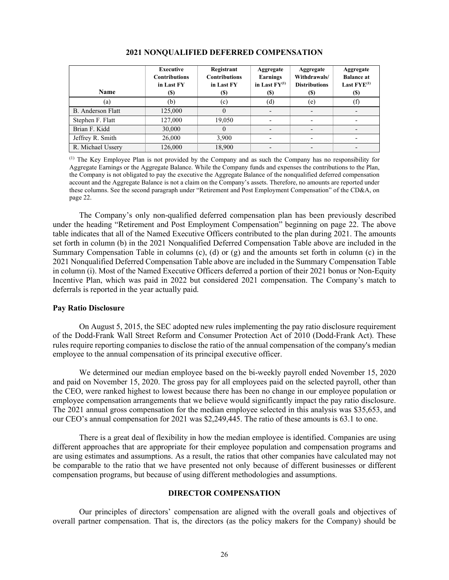| <b>Name</b>       | Executive<br><b>Contributions</b><br>in Last FY<br><b>(\$)</b> | Registrant<br><b>Contributions</b><br>in Last FY<br>(S) | Aggregate<br>Earnings<br>in Last $FY^{(1)}$<br>(\$) | Aggregate<br>Withdrawals/<br><b>Distributions</b><br><b>(\$)</b> | Aggregate<br><b>Balance</b> at<br>Last $FYE^{(1)}$<br>(S) |
|-------------------|----------------------------------------------------------------|---------------------------------------------------------|-----------------------------------------------------|------------------------------------------------------------------|-----------------------------------------------------------|
| (a)               | (b)                                                            | (c)                                                     | (d)                                                 | (e)                                                              |                                                           |
| B. Anderson Flatt | 125,000                                                        |                                                         | $\overline{\phantom{a}}$                            | $\qquad \qquad \blacksquare$                                     |                                                           |
| Stephen F. Flatt  | 127,000                                                        | 19.050                                                  |                                                     |                                                                  |                                                           |
| Brian F. Kidd     | 30,000                                                         |                                                         |                                                     |                                                                  |                                                           |
| Jeffrey R. Smith  | 26,000                                                         | 3,900                                                   | $\overline{\phantom{a}}$                            |                                                                  |                                                           |
| R. Michael Ussery | 126,000                                                        | 18,900                                                  |                                                     |                                                                  |                                                           |

#### **2021 NONQUALIFIED DEFERRED COMPENSATION**

(1) The Key Employee Plan is not provided by the Company and as such the Company has no responsibility for Aggregate Earnings or the Aggregate Balance. While the Company funds and expenses the contributions to the Plan, the Company is not obligated to pay the executive the Aggregate Balance of the nonqualified deferred compensation account and the Aggregate Balance is not a claim on the Company's assets. Therefore, no amounts are reported under these columns. See the second paragraph under "Retirement and Post Employment Compensation" of the CD&A, on page 22.

The Company's only non-qualified deferred compensation plan has been previously described under the heading "Retirement and Post Employment Compensation" beginning on page 22. The above table indicates that all of the Named Executive Officers contributed to the plan during 2021. The amounts set forth in column (b) in the 2021 Nonqualified Deferred Compensation Table above are included in the Summary Compensation Table in columns (c), (d) or (g) and the amounts set forth in column (c) in the 2021 Nonqualified Deferred Compensation Table above are included in the Summary Compensation Table in column (i). Most of the Named Executive Officers deferred a portion of their 2021 bonus or Non-Equity Incentive Plan, which was paid in 2022 but considered 2021 compensation. The Company's match to deferrals is reported in the year actually paid.

#### **Pay Ratio Disclosure**

On August 5, 2015, the SEC adopted new rules implementing the pay ratio disclosure requirement of the Dodd-Frank Wall Street Reform and Consumer Protection Act of 2010 (Dodd-Frank Act). These rules require reporting companies to disclose the ratio of the annual compensation of the company's median employee to the annual compensation of its principal executive officer.

We determined our median employee based on the bi-weekly payroll ended November 15, 2020 and paid on November 15, 2020. The gross pay for all employees paid on the selected payroll, other than the CEO, were ranked highest to lowest because there has been no change in our employee population or employee compensation arrangements that we believe would significantly impact the pay ratio disclosure. The 2021 annual gross compensation for the median employee selected in this analysis was \$35,653, and our CEO's annual compensation for 2021 was \$2,249,445. The ratio of these amounts is 63.1 to one.

There is a great deal of flexibility in how the median employee is identified. Companies are using different approaches that are appropriate for their employee population and compensation programs and are using estimates and assumptions. As a result, the ratios that other companies have calculated may not be comparable to the ratio that we have presented not only because of different businesses or different compensation programs, but because of using different methodologies and assumptions.

## **DIRECTOR COMPENSATION**

Our principles of directors' compensation are aligned with the overall goals and objectives of overall partner compensation. That is, the directors (as the policy makers for the Company) should be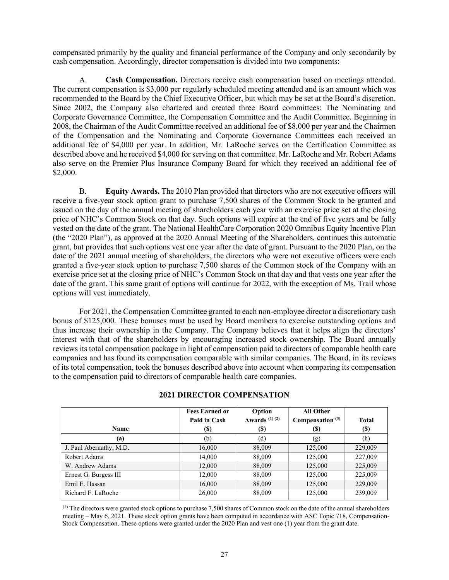compensated primarily by the quality and financial performance of the Company and only secondarily by cash compensation. Accordingly, director compensation is divided into two components:

A. **Cash Compensation.** Directors receive cash compensation based on meetings attended. The current compensation is \$3,000 per regularly scheduled meeting attended and is an amount which was recommended to the Board by the Chief Executive Officer, but which may be set at the Board's discretion. Since 2002, the Company also chartered and created three Board committees: The Nominating and Corporate Governance Committee, the Compensation Committee and the Audit Committee. Beginning in 2008, the Chairman of the Audit Committee received an additional fee of \$8,000 per year and the Chairmen of the Compensation and the Nominating and Corporate Governance Committees each received an additional fee of \$4,000 per year. In addition, Mr. LaRoche serves on the Certification Committee as described above and he received \$4,000 for serving on that committee. Mr. LaRoche and Mr. Robert Adams also serve on the Premier Plus Insurance Company Board for which they received an additional fee of \$2,000.

B. **Equity Awards.** The 2010 Plan provided that directors who are not executive officers will receive a five-year stock option grant to purchase 7,500 shares of the Common Stock to be granted and issued on the day of the annual meeting of shareholders each year with an exercise price set at the closing price of NHC's Common Stock on that day. Such options will expire at the end of five years and be fully vested on the date of the grant. The National HealthCare Corporation 2020 Omnibus Equity Incentive Plan (the "2020 Plan"), as approved at the 2020 Annual Meeting of the Shareholders, continues this automatic grant, but provides that such options vest one year after the date of grant. Pursuant to the 2020 Plan, on the date of the 2021 annual meeting of shareholders, the directors who were not executive officers were each granted a five-year stock option to purchase 7,500 shares of the Common stock of the Company with an exercise price set at the closing price of NHC's Common Stock on that day and that vests one year after the date of the grant. This same grant of options will continue for 2022, with the exception of Ms. Trail whose options will vest immediately.

For 2021, the Compensation Committee granted to each non-employee director a discretionary cash bonus of \$125,000. These bonuses must be used by Board members to exercise outstanding options and thus increase their ownership in the Company. The Company believes that it helps align the directors' interest with that of the shareholders by encouraging increased stock ownership. The Board annually reviews its total compensation package in light of compensation paid to directors of comparable health care companies and has found its compensation comparable with similar companies. The Board, in its reviews of its total compensation, took the bonuses described above into account when comparing its compensation to the compensation paid to directors of comparable health care companies.

|                         | <b>Fees Earned or</b> | Option          | <b>All Other</b>   |              |
|-------------------------|-----------------------|-----------------|--------------------|--------------|
|                         | Paid in Cash          | Awards $(1)(2)$ | Compensation $(3)$ | <b>Total</b> |
| <b>Name</b>             | (S)                   | <b>(\$)</b>     | (S)                | <b>(\$)</b>  |
| (a)                     | (b)                   | (d)             | (g)                | (h)          |
| J. Paul Abernathy, M.D. | 16,000                | 88,009          | 125,000            | 229,009      |
| Robert Adams            | 14,000                | 88,009          | 125,000            | 227,009      |
| W. Andrew Adams         | 12,000                | 88,009          | 125,000            | 225,009      |
| Ernest G. Burgess III   | 12,000                | 88,009          | 125,000            | 225,009      |
| Emil E. Hassan          | 16,000                | 88,009          | 125,000            | 229,009      |
| Richard F. LaRoche      | 26,000                | 88,009          | 125,000            | 239,009      |

## **2021 DIRECTOR COMPENSATION**

 $<sup>(1)</sup>$  The directors were granted stock options to purchase 7,500 shares of Common stock on the date of the annual shareholders</sup> meeting – May 6, 2021. These stock option grants have been computed in accordance with ASC Topic 718, Compensation-Stock Compensation. These options were granted under the 2020 Plan and vest one (1) year from the grant date.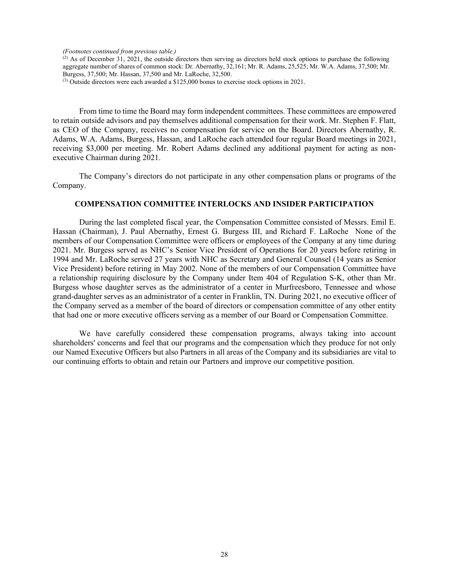*(Footnotes continued from previous table.)*

 $(2)$  As of December 31, 2021, the outside directors then serving as directors held stock options to purchase the following aggregate number of shares of common stock: Dr. Abernathy, 32,161; Mr. R. Adams, 25,525; Mr. W.A. Adams, 37,500; Mr. Burgess, 37,500; Mr. Hassan, 37,500 and Mr. LaRoche, 32,500.

(3) Outside directors were each awarded a \$125,000 bonus to exercise stock options in 2021.

From time to time the Board may form independent committees. These committees are empowered to retain outside advisors and pay themselves additional compensation for their work. Mr. Stephen F. Flatt, as CEO of the Company, receives no compensation for service on the Board. Directors Abernathy, R. Adams, W.A. Adams, Burgess, Hassan, and LaRoche each attended four regular Board meetings in 2021, receiving \$3,000 per meeting. Mr. Robert Adams declined any additional payment for acting as nonexecutive Chairman during 2021.

The Company's directors do not participate in any other compensation plans or programs of the Company.

#### **COMPENSATION COMMITTEE INTERLOCKS AND INSIDER PARTICIPATION**

During the last completed fiscal year, the Compensation Committee consisted of Messrs. Emil E. Hassan (Chairman), J. Paul Abernathy, Ernest G. Burgess III, and Richard F. LaRoche None of the members of our Compensation Committee were officers or employees of the Company at any time during 2021. Mr. Burgess served as NHC's Senior Vice President of Operations for 20 years before retiring in 1994 and Mr. LaRoche served 27 years with NHC as Secretary and General Counsel (14 years as Senior Vice President) before retiring in May 2002. None of the members of our Compensation Committee have a relationship requiring disclosure by the Company under Item 404 of Regulation S-K, other than Mr. Burgess whose daughter serves as the administrator of a center in Murfreesboro, Tennessee and whose grand-daughter serves as an administrator of a center in Franklin, TN. During 2021, no executive officer of the Company served as a member of the board of directors or compensation committee of any other entity that had one or more executive officers serving as a member of our Board or Compensation Committee.

We have carefully considered these compensation programs, always taking into account shareholders' concerns and feel that our programs and the compensation which they produce for not only our Named Executive Officers but also Partners in all areas of the Company and its subsidiaries are vital to our continuing efforts to obtain and retain our Partners and improve our competitive position.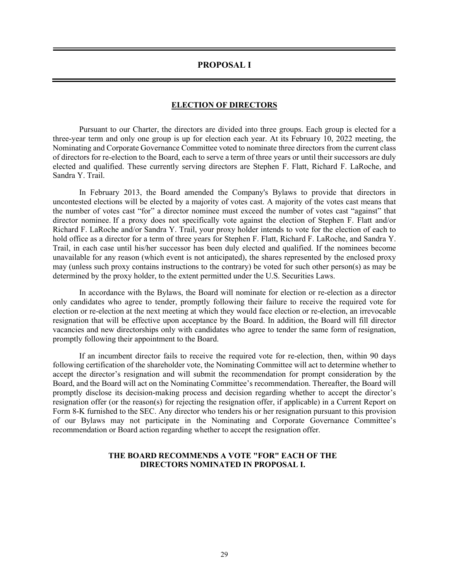## **PROPOSAL I**

## **ELECTION OF DIRECTORS**

Pursuant to our Charter, the directors are divided into three groups. Each group is elected for a three-year term and only one group is up for election each year. At its February 10, 2022 meeting, the Nominating and Corporate Governance Committee voted to nominate three directors from the current class of directors for re-election to the Board, each to serve a term of three years or until their successors are duly elected and qualified. These currently serving directors are Stephen F. Flatt, Richard F. LaRoche, and Sandra Y. Trail.

In February 2013, the Board amended the Company's Bylaws to provide that directors in uncontested elections will be elected by a majority of votes cast. A majority of the votes cast means that the number of votes cast "for" a director nominee must exceed the number of votes cast "against" that director nominee. If a proxy does not specifically vote against the election of Stephen F. Flatt and/or Richard F. LaRoche and/or Sandra Y. Trail, your proxy holder intends to vote for the election of each to hold office as a director for a term of three years for Stephen F. Flatt, Richard F. LaRoche, and Sandra Y. Trail, in each case until his/her successor has been duly elected and qualified. If the nominees become unavailable for any reason (which event is not anticipated), the shares represented by the enclosed proxy may (unless such proxy contains instructions to the contrary) be voted for such other person(s) as may be determined by the proxy holder, to the extent permitted under the U.S. Securities Laws.

In accordance with the Bylaws, the Board will nominate for election or re-election as a director only candidates who agree to tender, promptly following their failure to receive the required vote for election or re-election at the next meeting at which they would face election or re-election, an irrevocable resignation that will be effective upon acceptance by the Board. In addition, the Board will fill director vacancies and new directorships only with candidates who agree to tender the same form of resignation, promptly following their appointment to the Board.

If an incumbent director fails to receive the required vote for re-election, then, within 90 days following certification of the shareholder vote, the Nominating Committee will act to determine whether to accept the director's resignation and will submit the recommendation for prompt consideration by the Board, and the Board will act on the Nominating Committee's recommendation. Thereafter, the Board will promptly disclose its decision-making process and decision regarding whether to accept the director's resignation offer (or the reason(s) for rejecting the resignation offer, if applicable) in a Current Report on Form 8-K furnished to the SEC. Any director who tenders his or her resignation pursuant to this provision of our Bylaws may not participate in the Nominating and Corporate Governance Committee's recommendation or Board action regarding whether to accept the resignation offer.

## **THE BOARD RECOMMENDS A VOTE "FOR" EACH OF THE DIRECTORS NOMINATED IN PROPOSAL I.**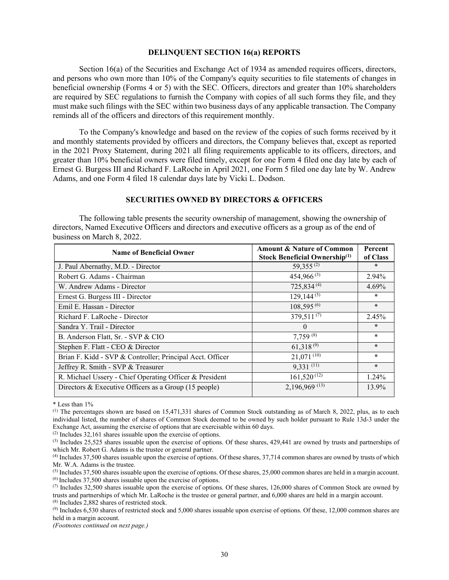#### **DELINQUENT SECTION 16(a) REPORTS**

Section 16(a) of the Securities and Exchange Act of 1934 as amended requires officers, directors, and persons who own more than 10% of the Company's equity securities to file statements of changes in beneficial ownership (Forms 4 or 5) with the SEC. Officers, directors and greater than 10% shareholders are required by SEC regulations to furnish the Company with copies of all such forms they file, and they must make such filings with the SEC within two business days of any applicable transaction. The Company reminds all of the officers and directors of this requirement monthly.

To the Company's knowledge and based on the review of the copies of such forms received by it and monthly statements provided by officers and directors, the Company believes that, except as reported in the 2021 Proxy Statement, during 2021 all filing requirements applicable to its officers, directors, and greater than 10% beneficial owners were filed timely, except for one Form 4 filed one day late by each of Ernest G. Burgess III and Richard F. LaRoche in April 2021, one Form 5 filed one day late by W. Andrew Adams, and one Form 4 filed 18 calendar days late by Vicki L. Dodson.

## **SECURITIES OWNED BY DIRECTORS & OFFICERS**

The following table presents the security ownership of management, showing the ownership of directors, Named Executive Officers and directors and executive officers as a group as of the end of business on March 8, 2022.

| <b>Name of Beneficial Owner</b>                                 | <b>Amount &amp; Nature of Common</b><br>Stock Beneficial Ownership <sup>(1)</sup> | Percent<br>of Class |
|-----------------------------------------------------------------|-----------------------------------------------------------------------------------|---------------------|
| J. Paul Abernathy, M.D. - Director                              | 59,355 $(2)$                                                                      | $\ast$              |
| Robert G. Adams - Chairman                                      | $454,966^{(3)}$                                                                   | 2.94%               |
| W. Andrew Adams - Director                                      | 725,834 <sup>(4)</sup>                                                            | 4.69%               |
| Ernest G. Burgess III - Director                                | $129,144^{(5)}$                                                                   | *                   |
| Emil E. Hassan - Director                                       | $108,595^{(6)}$                                                                   | $\ast$              |
| Richard F. LaRoche - Director                                   | $379,511^{(7)}$                                                                   | 2.45%               |
| Sandra Y. Trail - Director                                      | $\theta$                                                                          | $\ast$              |
| B. Anderson Flatt, Sr. - SVP & CIO                              | $7,759^{(8)}$                                                                     | $\ast$              |
| Stephen F. Flatt - CEO & Director                               | $61,318^{(9)}$                                                                    | $\ast$              |
| Brian F. Kidd - SVP & Controller; Principal Acct. Officer       | 21,071(10)                                                                        | $\ast$              |
| Jeffrey R. Smith - SVP & Treasurer                              | $9,331$ (11)                                                                      | $\ast$              |
| R. Michael Ussery - Chief Operating Officer & President         | $161,520^{(12)}$                                                                  | 1.24%               |
| Directors & Executive Officers as a Group $(15 \text{ people})$ | 2,196,969 (13)                                                                    | 13.9%               |

\* Less than 1%

(2) Includes 32,161 shares issuable upon the exercise of options.

*(Footnotes continued on next page.)*

<sup>(1)</sup> The percentages shown are based on 15,471,331 shares of Common Stock outstanding as of March 8, 2022, plus, as to each individual listed, the number of shares of Common Stock deemed to be owned by such holder pursuant to Rule 13d-3 under the Exchange Act, assuming the exercise of options that are exercisable within 60 days.

<sup>(3)</sup> Includes 25,525 shares issuable upon the exercise of options. Of these shares, 429,441 are owned by trusts and partnerships of which Mr. Robert G. Adams is the trustee or general partner.

<sup>(4)</sup> Includes 37,500 shares issuable upon the exercise of options. Of these shares, 37,714 common shares are owned by trusts of which Mr. W.A. Adams is the trustee.

 $<sup>(5)</sup>$  Includes 37,500 shares issuable upon the exercise of options. Of these shares, 25,000 common shares are held in a margin account.</sup> (6) Includes 37,500 shares issuable upon the exercise of options.

 $(7)$  Includes 32,500 shares issuable upon the exercise of options. Of these shares, 126,000 shares of Common Stock are owned by trusts and partnerships of which Mr. LaRoche is the trustee or general partner, and 6,000 shares are held in a margin account. (8) Includes 2,882 shares of restricted stock.

 $^{(9)}$  Includes 6,530 shares of restricted stock and 5,000 shares issuable upon exercise of options. Of these, 12,000 common shares are held in a margin account.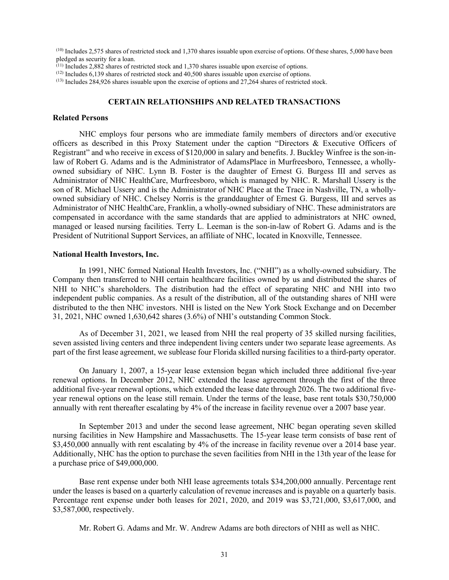(10) Includes 2,575 shares of restricted stock and 1,370 shares issuable upon exercise of options. Of these shares, 5,000 have been pledged as security for a loan.<br>
<sup>(11)</sup> Includes 2,882 shares of restricted stock and 1,370 shares issuable upon exercise of options.

<sup>(12)</sup> Includes 6,139 shares of restricted stock and 40,500 shares issuable upon exercise of options.<br><sup>(13)</sup> Includes 284,926 shares issuable upon the exercise of options and 27,264 shares of restricted stock.

#### **CERTAIN RELATIONSHIPS AND RELATED TRANSACTIONS**

#### **Related Persons**

NHC employs four persons who are immediate family members of directors and/or executive officers as described in this Proxy Statement under the caption "Directors & Executive Officers of Registrant" and who receive in excess of \$120,000 in salary and benefits. J. Buckley Winfree is the son-inlaw of Robert G. Adams and is the Administrator of AdamsPlace in Murfreesboro, Tennessee, a whollyowned subsidiary of NHC. Lynn B. Foster is the daughter of Ernest G. Burgess III and serves as Administrator of NHC HealthCare, Murfreesboro, which is managed by NHC. R. Marshall Ussery is the son of R. Michael Ussery and is the Administrator of NHC Place at the Trace in Nashville, TN, a whollyowned subsidiary of NHC. Chelsey Norris is the granddaughter of Ernest G. Burgess, III and serves as Administrator of NHC HealthCare, Franklin, a wholly-owned subsidiary of NHC. These administrators are compensated in accordance with the same standards that are applied to administrators at NHC owned, managed or leased nursing facilities. Terry L. Leeman is the son-in-law of Robert G. Adams and is the President of Nutritional Support Services, an affiliate of NHC, located in Knoxville, Tennessee.

#### **National Health Investors, Inc.**

In 1991, NHC formed National Health Investors, Inc. ("NHI") as a wholly-owned subsidiary. The Company then transferred to NHI certain healthcare facilities owned by us and distributed the shares of NHI to NHC's shareholders. The distribution had the effect of separating NHC and NHI into two independent public companies. As a result of the distribution, all of the outstanding shares of NHI were distributed to the then NHC investors. NHI is listed on the New York Stock Exchange and on December 31, 2021, NHC owned 1,630,642 shares (3.6%) of NHI's outstanding Common Stock.

As of December 31, 2021, we leased from NHI the real property of 35 skilled nursing facilities, seven assisted living centers and three independent living centers under two separate lease agreements. As part of the first lease agreement, we sublease four Florida skilled nursing facilities to a third-party operator.

On January 1, 2007, a 15-year lease extension began which included three additional five-year renewal options. In December 2012, NHC extended the lease agreement through the first of the three additional five-year renewal options, which extended the lease date through 2026. The two additional fiveyear renewal options on the lease still remain. Under the terms of the lease, base rent totals \$30,750,000 annually with rent thereafter escalating by 4% of the increase in facility revenue over a 2007 base year.

In September 2013 and under the second lease agreement, NHC began operating seven skilled nursing facilities in New Hampshire and Massachusetts. The 15-year lease term consists of base rent of \$3,450,000 annually with rent escalating by 4% of the increase in facility revenue over a 2014 base year. Additionally, NHC has the option to purchase the seven facilities from NHI in the 13th year of the lease for a purchase price of \$49,000,000.

Base rent expense under both NHI lease agreements totals \$34,200,000 annually. Percentage rent under the leases is based on a quarterly calculation of revenue increases and is payable on a quarterly basis. Percentage rent expense under both leases for 2021, 2020, and 2019 was \$3,721,000, \$3,617,000, and \$3,587,000, respectively.

Mr. Robert G. Adams and Mr. W. Andrew Adams are both directors of NHI as well as NHC.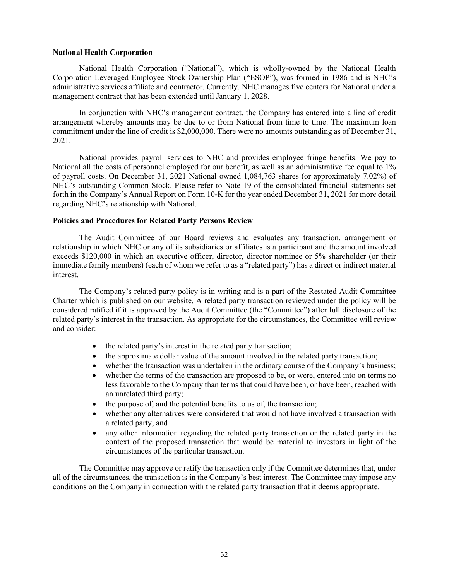#### **National Health Corporation**

National Health Corporation ("National"), which is wholly-owned by the National Health Corporation Leveraged Employee Stock Ownership Plan ("ESOP"), was formed in 1986 and is NHC's administrative services affiliate and contractor. Currently, NHC manages five centers for National under a management contract that has been extended until January 1, 2028.

In conjunction with NHC's management contract, the Company has entered into a line of credit arrangement whereby amounts may be due to or from National from time to time. The maximum loan commitment under the line of credit is \$2,000,000. There were no amounts outstanding as of December 31, 2021.

National provides payroll services to NHC and provides employee fringe benefits. We pay to National all the costs of personnel employed for our benefit, as well as an administrative fee equal to 1% of payroll costs. On December 31, 2021 National owned 1,084,763 shares (or approximately 7.02%) of NHC's outstanding Common Stock. Please refer to Note 19 of the consolidated financial statements set forth in the Company's Annual Report on Form 10-K for the year ended December 31, 2021 for more detail regarding NHC's relationship with National.

#### **Policies and Procedures for Related Party Persons Review**

The Audit Committee of our Board reviews and evaluates any transaction, arrangement or relationship in which NHC or any of its subsidiaries or affiliates is a participant and the amount involved exceeds \$120,000 in which an executive officer, director, director nominee or 5% shareholder (or their immediate family members) (each of whom we refer to as a "related party") has a direct or indirect material interest.

The Company's related party policy is in writing and is a part of the Restated Audit Committee Charter which is published on our website. A related party transaction reviewed under the policy will be considered ratified if it is approved by the Audit Committee (the "Committee") after full disclosure of the related party's interest in the transaction. As appropriate for the circumstances, the Committee will review and consider:

- the related party's interest in the related party transaction;
- the approximate dollar value of the amount involved in the related party transaction;
- whether the transaction was undertaken in the ordinary course of the Company's business;
- whether the terms of the transaction are proposed to be, or were, entered into on terms no less favorable to the Company than terms that could have been, or have been, reached with an unrelated third party;
- the purpose of, and the potential benefits to us of, the transaction;
- whether any alternatives were considered that would not have involved a transaction with a related party; and
- any other information regarding the related party transaction or the related party in the context of the proposed transaction that would be material to investors in light of the circumstances of the particular transaction.

The Committee may approve or ratify the transaction only if the Committee determines that, under all of the circumstances, the transaction is in the Company's best interest. The Committee may impose any conditions on the Company in connection with the related party transaction that it deems appropriate.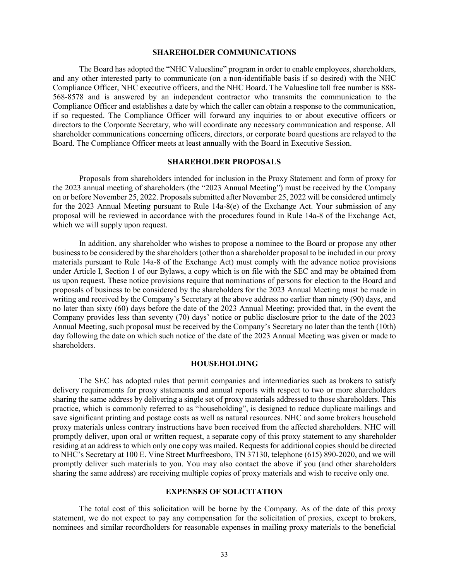#### **SHAREHOLDER COMMUNICATIONS**

The Board has adopted the "NHC Valuesline" program in order to enable employees, shareholders, and any other interested party to communicate (on a non-identifiable basis if so desired) with the NHC Compliance Officer, NHC executive officers, and the NHC Board. The Valuesline toll free number is 888- 568-8578 and is answered by an independent contractor who transmits the communication to the Compliance Officer and establishes a date by which the caller can obtain a response to the communication, if so requested. The Compliance Officer will forward any inquiries to or about executive officers or directors to the Corporate Secretary, who will coordinate any necessary communication and response. All shareholder communications concerning officers, directors, or corporate board questions are relayed to the Board. The Compliance Officer meets at least annually with the Board in Executive Session.

## **SHAREHOLDER PROPOSALS**

Proposals from shareholders intended for inclusion in the Proxy Statement and form of proxy for the 2023 annual meeting of shareholders (the "2023 Annual Meeting") must be received by the Company on or before November 25, 2022. Proposals submitted after November 25, 2022 will be considered untimely for the 2023 Annual Meeting pursuant to Rule 14a-8(e) of the Exchange Act. Your submission of any proposal will be reviewed in accordance with the procedures found in Rule 14a-8 of the Exchange Act, which we will supply upon request.

In addition, any shareholder who wishes to propose a nominee to the Board or propose any other business to be considered by the shareholders (other than a shareholder proposal to be included in our proxy materials pursuant to Rule 14a-8 of the Exchange Act) must comply with the advance notice provisions under Article I, Section 1 of our Bylaws, a copy which is on file with the SEC and may be obtained from us upon request. These notice provisions require that nominations of persons for election to the Board and proposals of business to be considered by the shareholders for the 2023 Annual Meeting must be made in writing and received by the Company's Secretary at the above address no earlier than ninety (90) days, and no later than sixty (60) days before the date of the 2023 Annual Meeting; provided that, in the event the Company provides less than seventy (70) days' notice or public disclosure prior to the date of the 2023 Annual Meeting, such proposal must be received by the Company's Secretary no later than the tenth (10th) day following the date on which such notice of the date of the 2023 Annual Meeting was given or made to shareholders.

#### **HOUSEHOLDING**

The SEC has adopted rules that permit companies and intermediaries such as brokers to satisfy delivery requirements for proxy statements and annual reports with respect to two or more shareholders sharing the same address by delivering a single set of proxy materials addressed to those shareholders. This practice, which is commonly referred to as "householding", is designed to reduce duplicate mailings and save significant printing and postage costs as well as natural resources. NHC and some brokers household proxy materials unless contrary instructions have been received from the affected shareholders. NHC will promptly deliver, upon oral or written request, a separate copy of this proxy statement to any shareholder residing at an address to which only one copy was mailed. Requests for additional copies should be directed to NHC's Secretary at 100 E. Vine Street Murfreesboro, TN 37130, telephone (615) 890-2020, and we will promptly deliver such materials to you. You may also contact the above if you (and other shareholders sharing the same address) are receiving multiple copies of proxy materials and wish to receive only one.

#### **EXPENSES OF SOLICITATION**

The total cost of this solicitation will be borne by the Company. As of the date of this proxy statement, we do not expect to pay any compensation for the solicitation of proxies, except to brokers, nominees and similar recordholders for reasonable expenses in mailing proxy materials to the beneficial